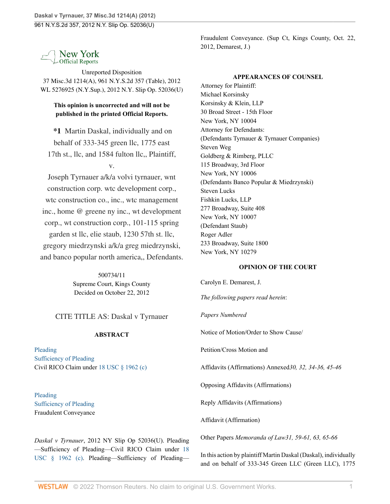New York **Official Reports** 

Unreported Disposition 37 Misc.3d 1214(A), 961 N.Y.S.2d 357 (Table), 2012 WL 5276925 (N.Y.Sup.), 2012 N.Y. Slip Op. 52036(U)

# **This opinion is uncorrected and will not be published in the printed Official Reports.**

**\*1** Martin Daskal, individually and on behalf of 333-345 green llc, 1775 east 17th st., llc, and 1584 fulton llc,, Plaintiff,

v.

Joseph Tyrnauer a/k/a volvi tyrnauer, wnt construction corp. wtc development corp., wtc construction co., inc., wtc management inc., home @ greene ny inc., wt development corp., wt construction corp., 101-115 spring garden st llc, elie staub, 1230 57th st. llc, gregory miedrzynski a/k/a greg miedrzynski, and banco popular north america,, Defendants.

> 500734/11 Supreme Court, Kings County Decided on October 22, 2012

CITE TITLE AS: Daskal v Tyrnauer

# **ABSTRACT**

[Pleading](http://www.westlaw.com/Browse/Home/NYOKeyNumber/NY00000005182/View.html?docGuid=Ifc6eea031f9d11e2b66bbd5332e2d275&contentType=nyoDigest2and3&originationContext=document&transitionType=Document&vr=3.0&rs=cblt1.0&contextData=(sc.UserEnteredCitation)) [Sufficiency of Pleading](http://www.westlaw.com/Browse/Home/NYOKeyNumber/NY00000005183/View.html?docGuid=Ifc6eea031f9d11e2b66bbd5332e2d275&contentType=nyoDigest2and3&originationContext=document&transitionType=Document&vr=3.0&rs=cblt1.0&contextData=(sc.UserEnteredCitation)) Civil RICO Claim under [18 USC § 1962 \(c\)](http://www.westlaw.com/Link/Document/FullText?findType=L&pubNum=1000546&cite=18USCAS1962&originatingDoc=Ifc6eea031f9d11e2b66bbd5332e2d275&refType=LQ&originationContext=document&vr=3.0&rs=cblt1.0&transitionType=DocumentItem&contextData=(sc.UserEnteredCitation))

[Pleading](http://www.westlaw.com/Browse/Home/NYOKeyNumber/NY00000005182/View.html?docGuid=Ifc6eea031f9d11e2b66bbd5332e2d275&contentType=nyoDigest2and3&originationContext=document&transitionType=Document&vr=3.0&rs=cblt1.0&contextData=(sc.UserEnteredCitation)) [Sufficiency of Pleading](http://www.westlaw.com/Browse/Home/NYOKeyNumber/NY00000005183/View.html?docGuid=Ifc6eea031f9d11e2b66bbd5332e2d275&contentType=nyoDigest2and3&originationContext=document&transitionType=Document&vr=3.0&rs=cblt1.0&contextData=(sc.UserEnteredCitation)) Fraudulent Conveyance

*Daskal v Tyrnauer*, 2012 NY Slip Op 52036(U). Pleading —Sufficiency of Pleading—Civil RICO Claim under [18](http://www.westlaw.com/Link/Document/FullText?findType=L&pubNum=1000546&cite=18USCAS1962&originatingDoc=Ifc6eea031f9d11e2b66bbd5332e2d275&refType=LQ&originationContext=document&vr=3.0&rs=cblt1.0&transitionType=DocumentItem&contextData=(sc.UserEnteredCitation)) [USC § 1962 \(c\).](http://www.westlaw.com/Link/Document/FullText?findType=L&pubNum=1000546&cite=18USCAS1962&originatingDoc=Ifc6eea031f9d11e2b66bbd5332e2d275&refType=LQ&originationContext=document&vr=3.0&rs=cblt1.0&transitionType=DocumentItem&contextData=(sc.UserEnteredCitation)) Pleading—Sufficiency of PleadingFraudulent Conveyance. (Sup Ct, Kings County, Oct. 22, 2012, Demarest, J.)

## **APPEARANCES OF COUNSEL**

Attorney for Plaintiff: Michael Korsinsky Korsinsky & Klein, LLP 30 Broad Street - 15th Floor New York, NY 10004 Attorney for Defendants: (Defendants Tyrnauer & Tyrnauer Companies) Steven Weg Goldberg & Rimberg, PLLC 115 Broadway, 3rd Floor New York, NY 10006 (Defendants Banco Popular & Miedrzynski) Steven Lucks Fishkin Lucks, LLP 277 Broadway, Suite 408 New York, NY 10007 (Defendant Staub) Roger Adler 233 Broadway, Suite 1800 New York, NY 10279

# **OPINION OF THE COURT**

Carolyn E. Demarest, J.

*The following papers read herein*:

*Papers Numbered*

Notice of Motion/Order to Show Cause/

Petition/Cross Motion and

Affidavits (Affirmations) Annexed*30, 32, 34-36, 45-46*

Opposing Affidavits (Affirmations)

Reply Affidavits (Affirmations)

Affidavit (Affirmation)

Other Papers *Memoranda of Law31, 59-61, 63, 65-66*

In this action by plaintiff Martin Daskal (Daskal), individually and on behalf of 333-345 Green LLC (Green LLC), 1775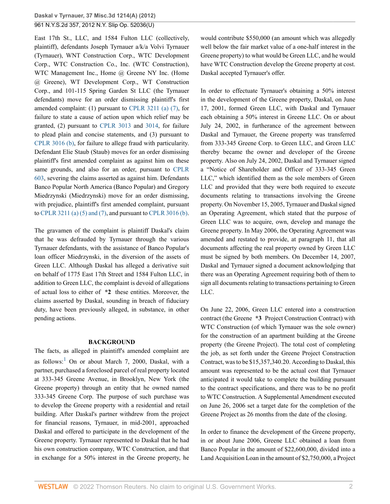East 17th St., LLC, and 1584 Fulton LLC (collectively, plaintiff), defendants Joseph Tyrnauer a/k/a Volvi Tyrnauer (Tyrnauer), WNT Construction Corp., WTC Development Corp., WTC Construction Co., Inc. (WTC Construction), WTC Management Inc., Home @ Greene NY Inc. (Home @ Greene), WT Development Corp., WT Construction Corp., and 101-115 Spring Garden St LLC (the Tyrnauer defendants) move for an order dismissing plaintiff's first amended complaint: (1) pursuant to [CPLR 3211 \(a\) \(7\),](http://www.westlaw.com/Link/Document/FullText?findType=L&pubNum=1000059&cite=NYCPR3211&originatingDoc=Ifc6eea031f9d11e2b66bbd5332e2d275&refType=LQ&originationContext=document&vr=3.0&rs=cblt1.0&transitionType=DocumentItem&contextData=(sc.UserEnteredCitation)) for failure to state a cause of action upon which relief may be granted, (2) pursuant to [CPLR 3013](http://www.westlaw.com/Link/Document/FullText?findType=L&pubNum=1000059&cite=NYCPS3013&originatingDoc=Ifc6eea031f9d11e2b66bbd5332e2d275&refType=LQ&originationContext=document&vr=3.0&rs=cblt1.0&transitionType=DocumentItem&contextData=(sc.UserEnteredCitation)) and [3014,](http://www.westlaw.com/Link/Document/FullText?findType=L&pubNum=1000059&cite=NYCPR3014&originatingDoc=Ifc6eea031f9d11e2b66bbd5332e2d275&refType=LQ&originationContext=document&vr=3.0&rs=cblt1.0&transitionType=DocumentItem&contextData=(sc.UserEnteredCitation)) for failure to plead plain and concise statements, and (3) pursuant to [CPLR 3016 \(b\)](http://www.westlaw.com/Link/Document/FullText?findType=L&pubNum=1000059&cite=NYCPR3016&originatingDoc=Ifc6eea031f9d11e2b66bbd5332e2d275&refType=LQ&originationContext=document&vr=3.0&rs=cblt1.0&transitionType=DocumentItem&contextData=(sc.UserEnteredCitation)), for failure to allege fraud with particularity. Defendant Elie Staub (Staub) moves for an order dismissing plaintiff's first amended complaint as against him on these same grounds, and also for an order, pursuant to [CPLR](http://www.westlaw.com/Link/Document/FullText?findType=L&pubNum=1000059&cite=NYCPS603&originatingDoc=Ifc6eea031f9d11e2b66bbd5332e2d275&refType=LQ&originationContext=document&vr=3.0&rs=cblt1.0&transitionType=DocumentItem&contextData=(sc.UserEnteredCitation)) [603](http://www.westlaw.com/Link/Document/FullText?findType=L&pubNum=1000059&cite=NYCPS603&originatingDoc=Ifc6eea031f9d11e2b66bbd5332e2d275&refType=LQ&originationContext=document&vr=3.0&rs=cblt1.0&transitionType=DocumentItem&contextData=(sc.UserEnteredCitation)), severing the claims asserted as against him. Defendants Banco Popular North America (Banco Popular) and Gregory Miedrzynski (Miedrzynski) move for an order dismissing, with prejudice, plaintiff's first amended complaint, pursuant to [CPLR 3211 \(a\) \(5\) and \(7\),](http://www.westlaw.com/Link/Document/FullText?findType=L&pubNum=1000059&cite=NYCPR3211&originatingDoc=Ifc6eea031f9d11e2b66bbd5332e2d275&refType=LQ&originationContext=document&vr=3.0&rs=cblt1.0&transitionType=DocumentItem&contextData=(sc.UserEnteredCitation)) and pursuant to [CPLR 3016 \(b\)](http://www.westlaw.com/Link/Document/FullText?findType=L&pubNum=1000059&cite=NYCPR3016&originatingDoc=Ifc6eea031f9d11e2b66bbd5332e2d275&refType=LQ&originationContext=document&vr=3.0&rs=cblt1.0&transitionType=DocumentItem&contextData=(sc.UserEnteredCitation)).

The gravamen of the complaint is plaintiff Daskal's claim that he was defrauded by Tyrnauer through the various Tyrnauer defendants, with the assistance of Banco Popular's loan officer Miedrzynski, in the diversion of the assets of Green LLC. Although Daskal has alleged a derivative suit on behalf of 1775 East 17th Street and 1584 Fulton LLC, in addition to Green LLC, the complaint is devoid of allegations of actual loss to either of **\*2** these entities. Moreover, the claims asserted by Daskal, sounding in breach of fiduciary duty, have been previously alleged, in substance, in other pending actions.

### <span id="page-1-0"></span>**BACKGROUND**

The facts, as alleged in plaintiff's amended complaint are as follows: $^1$  $^1$  On or about March 7, 2000, Daskal, with a partner, purchased a foreclosed parcel of real property located at 333-345 Greene Avenue, in Brooklyn, New York (the Greene property) through an entity that he owned named 333-345 Greene Corp. The purpose of such purchase was to develop the Greene property with a residential and retail building. After Daskal's partner withdrew from the project for financial reasons, Tyrnauer, in mid-2001, approached Daskal and offered to participate in the development of the Greene property. Tyrnauer represented to Daskal that he had his own construction company, WTC Construction, and that in exchange for a 50% interest in the Greene property, he would contribute \$550,000 (an amount which was allegedly well below the fair market value of a one-half interest in the Greene property) to what would be Green LLC, and he would have WTC Construction develop the Greene property at cost. Daskal accepted Tyrnauer's offer.

In order to effectuate Tyrnauer's obtaining a 50% interest in the development of the Greene property, Daskal, on June 17, 2001, formed Green LLC, with Daskal and Tyrnauer each obtaining a 50% interest in Greene LLC. On or about July 24, 2002, in furtherance of the agreement between Daskal and Tyrnauer, the Greene property was transferred from 333-345 Greene Corp. to Green LLC, and Green LLC thereby became the owner and developer of the Greene property. Also on July 24, 2002, Daskal and Tyrnauer signed a "Notice of Shareholder and Officer of 333-345 Green LLC," which identified them as the sole members of Green LLC and provided that they were both required to execute documents relating to transactions involving the Greene property. On November 15, 2005, Tyrnauer and Daskal signed an Operating Agreement, which stated that the purpose of Green LLC was to acquire, own, develop and manage the Greene property. In May 2006, the Operating Agreement was amended and restated to provide, at paragraph 11, that all documents affecting the real property owned by Green LLC must be signed by both members. On December 14, 2007, Daskal and Tyrnauer signed a document acknowledging that there was an Operating Agreement requiring both of them to sign all documents relating to transactions pertaining to Green LLC.

On June 22, 2006, Green LLC entered into a construction contract (the Greene **\*3** Project Construction Contract) with WTC Construction (of which Tyrnauer was the sole owner) for the construction of an apartment building at the Greene property (the Greene Project). The total cost of completing the job, as set forth under the Greene Project Construction Contract, was to be \$15,357,340.20. According to Daskal, this amount was represented to be the actual cost that Tyrnauer anticipated it would take to complete the building pursuant to the contract specifications, and there was to be no profit to WTC Construction. A Supplemental Amendment executed on June 26, 2006 set a target date for the completion of the Greene Project as 26 months from the date of the closing.

In order to finance the development of the Greene property, in or about June 2006, Greene LLC obtained a loan from Banco Popular in the amount of \$22,600,000, divided into a Land Acquisition Loan in the amount of \$2,750,000, a Project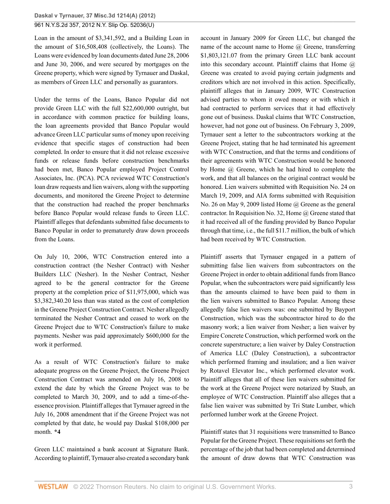Loan in the amount of \$3,341,592, and a Building Loan in the amount of \$16,508,408 (collectively, the Loans). The Loans were evidenced by loan documents dated June 28, 2006 and June 30, 2006, and were secured by mortgages on the Greene property, which were signed by Tyrnauer and Daskal, as members of Green LLC and personally as guarantors.

Under the terms of the Loans, Banco Popular did not provide Green LLC with the full \$22,600,000 outright, but in accordance with common practice for building loans, the loan agreements provided that Banco Popular would advance Green LLC particular sums of money upon receiving evidence that specific stages of construction had been completed. In order to ensure that it did not release excessive funds or release funds before construction benchmarks had been met, Banco Popular employed Project Control Associates, Inc. (PCA). PCA reviewed WTC Construction's loan draw requests and lien waivers, along with the supporting documents, and monitored the Greene Project to determine that the construction had reached the proper benchmarks before Banco Popular would release funds to Green LLC. Plaintiff alleges that defendants submitted false documents to Banco Popular in order to prematurely draw down proceeds from the Loans.

On July 10, 2006, WTC Construction entered into a construction contract (the Nesher Contract) with Nesher Builders LLC (Nesher). In the Nesher Contract, Nesher agreed to be the general contractor for the Greene property at the completion price of \$11,975,000, which was \$3,382,340.20 less than was stated as the cost of completion in the Greene Project Construction Contract. Nesher allegedly terminated the Nesher Contract and ceased to work on the Greene Project due to WTC Construction's failure to make payments. Nesher was paid approximately \$600,000 for the work it performed.

As a result of WTC Construction's failure to make adequate progress on the Greene Project, the Greene Project Construction Contract was amended on July 16, 2008 to extend the date by which the Greene Project was to be completed to March 30, 2009, and to add a time-of-theessence provision. Plaintiff alleges that Tyrnauer agreed in the July 16, 2008 amendment that if the Greene Project was not completed by that date, he would pay Daskal \$108,000 per month. **\*4**

Green LLC maintained a bank account at Signature Bank. According to plaintiff, Tyrnauer also created a secondary bank account in January 2009 for Green LLC, but changed the name of the account name to Home  $\omega$  Greene, transferring \$1,803,121.07 from the primary Green LLC bank account into this secondary account. Plaintiff claims that Home  $\omega$ Greene was created to avoid paying certain judgments and creditors which are not involved in this action. Specifically, plaintiff alleges that in January 2009, WTC Construction advised parties to whom it owed money or with which it had contracted to perform services that it had effectively gone out of business. Daskal claims that WTC Construction, however, had not gone out of business. On February 3, 2009, Tyrnauer sent a letter to the subcontractors working at the Greene Project, stating that he had terminated his agreement with WTC Construction, and that the terms and conditions of their agreements with WTC Construction would be honored by Home @ Greene, which he had hired to complete the work, and that all balances on the original contract would be honored. Lien waivers submitted with Requisition No. 24 on March 19, 2009, and AIA forms submitted with Requisition No. 26 on May 9, 2009 listed Home @ Greene as the general contractor. In Requisition No. 32, Home  $\omega$  Greene stated that it had received all of the funding provided by Banco Popular through that time, i.e., the full \$11.7 million, the bulk of which had been received by WTC Construction.

Plaintiff asserts that Tyrnauer engaged in a pattern of submitting false lien waivers from subcontractors on the Greene Project in order to obtain additional funds from Banco Popular, when the subcontractors were paid significantly less than the amounts claimed to have been paid to them in the lien waivers submitted to Banco Popular. Among these allegedly false lien waivers was: one submitted by Bayport Construction, which was the subcontractor hired to do the masonry work; a lien waiver from Nesher; a lien waiver by Empire Concrete Construction, which performed work on the concrete superstructure; a lien waiver by Daley Construction of America LLC (Daley Construction), a subcontractor which performed framing and insulation; and a lien waiver by Rotavel Elevator Inc., which performed elevator work. Plaintiff alleges that all of these lien waivers submitted for the work at the Greene Project were notarized by Staub, an employee of WTC Construction. Plaintiff also alleges that a false lien waiver was submitted by Tri State Lumber, which performed lumber work at the Greene Project.

Plaintiff states that 31 requisitions were transmitted to Banco Popular for the Greene Project. These requisitions set forth the percentage of the job that had been completed and determined the amount of draw downs that WTC Construction was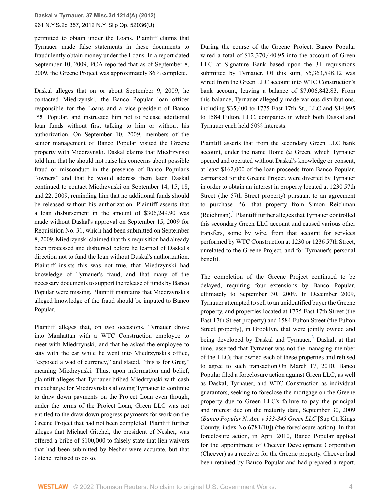permitted to obtain under the Loans. Plaintiff claims that Tyrnauer made false statements in these documents to fraudulently obtain money under the Loans. In a report dated September 10, 2009, PCA reported that as of September 8, 2009, the Greene Project was approximately 86% complete.

Daskal alleges that on or about September 9, 2009, he contacted Miedrzynski, the Banco Popular loan officer responsible for the Loans and a vice-president of Banco **\*5** Popular, and instructed him not to release additional loan funds without first talking to him or without his authorization. On September 10, 2009, members of the senior management of Banco Popular visited the Greene property with Miedrzynski. Daskal claims that Miedrzynski told him that he should not raise his concerns about possible fraud or misconduct in the presence of Banco Popular's "owners" and that he would address them later. Daskal continued to contact Miedrzynski on September 14, 15, 18, and 22, 2009, reminding him that no additional funds should be released without his authorization. Plaintiff asserts that a loan disbursement in the amount of \$306,249.90 was made without Daskal's approval on September 15, 2009 for Requisition No. 31, which had been submitted on September 8, 2009. Miedrzynski claimed that this requisition had already been processed and disbursed before he learned of Daskal's direction not to fund the loan without Daskal's authorization. Plaintiff insists this was not true, that Miedrzynski had knowledge of Tyrnauer's fraud, and that many of the necessary documents to support the release of funds by Banco Popular were missing. Plaintiff maintains that Miedrzynski's alleged knowledge of the fraud should be imputed to Banco Popular.

Plaintiff alleges that, on two occasions, Tyrnauer drove into Manhattan with a WTC Construction employee to meet with Miedrzynski, and that he asked the employee to stay with the car while he went into Miedrzynski's office, "exposed a wad of currency," and stated, "this is for Greg," meaning Miedrzynski. Thus, upon information and belief, plaintiff alleges that Tyrnauer bribed Miedrzynski with cash in exchange for Miedrzynski's allowing Tyrnauer to continue to draw down payments on the Project Loan even though, under the terms of the Project Loan, Green LLC was not entitled to the draw down progress payments for work on the Greene Project that had not been completed. Plaintiff further alleges that Michael Gitchel, the president of Nesher, was offered a bribe of \$100,000 to falsely state that lien waivers that had been submitted by Nesher were accurate, but that Gitchel refused to do so.

During the course of the Greene Project, Banco Popular wired a total of \$12,370,440.95 into the account of Green LLC at Signature Bank based upon the 31 requisitions submitted by Tyrnauer. Of this sum, \$5,363,598.12 was wired from the Green LLC account into WTC Construction's bank account, leaving a balance of \$7,006,842.83. From this balance, Tyrnauer allegedly made various distributions, including \$35,400 to 1775 East 17th St., LLC and \$14,995 to 1584 Fulton, LLC, companies in which both Daskal and Tyrnauer each held 50% interests.

Plaintiff asserts that from the secondary Green LLC bank account, under the name Home @ Green, which Tyrnauer opened and operated without Daskal's knowledge or consent, at least \$162,000 of the loan proceeds from Banco Popular, earmarked for the Greene Project, were diverted by Tyrnauer in order to obtain an interest in property located at 1230 57th Street (the 57th Street property) pursuant to an agreement to purchase **\*6** that property from Simon Reichman (Reichman). $^{2}$  $^{2}$  $^{2}$  Plaintiff further alleges that Tyrnauer controlled this secondary Green LLC account and caused various other transfers, some by wire, from that account for services performed by WTC Construction at 1230 or 1236 57th Street, unrelated to the Greene Project, and for Tyrnauer's personal benefit.

<span id="page-3-1"></span><span id="page-3-0"></span>The completion of the Greene Project continued to be delayed, requiring four extensions by Banco Popular, ultimately to September 30, 2009. In December 2009, Tyrnauer attempted to sell to an unidentified buyer the Greene property, and properties located at 1775 East 17th Street (the East 17th Street property) and 1584 Fulton Street (the Fulton Street property), in Brooklyn, that were jointly owned and being developed by Daskal and Tyrnauer.<sup>[3](#page-12-2)</sup> Daskal, at that time, asserted that Tyrnauer was not the managing member of the LLCs that owned each of these properties and refused to agree to such transaction.On March 17, 2010, Banco Popular filed a foreclosure action against Green LLC, as well as Daskal, Tyrnauer, and WTC Construction as individual guarantors, seeking to foreclose the mortgage on the Greene property due to Green LLC's failure to pay the principal and interest due on the maturity date, September 30, 2009 (*Banco Popular N. Am. v 333-345 Green LLC* [Sup Ct, Kings County, index No 6781/10]) (the foreclosure action). In that foreclosure action, in April 2010, Banco Popular applied for the appointment of Cheever Development Corporation (Cheever) as a receiver for the Greene property. Cheever had been retained by Banco Popular and had prepared a report,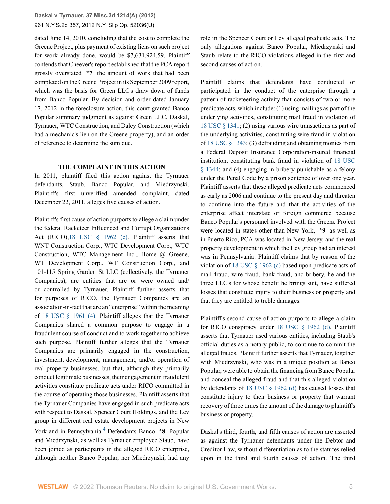dated June 14, 2010, concluding that the cost to complete the Greene Project, plus payment of existing liens on such project for work already done, would be \$7,631,924.59. Plaintiff contends that Cheever's report established that the PCA report grossly overstated **\*7** the amount of work that had been completed on the Greene Project in its September 2009 report, which was the basis for Green LLC's draw down of funds from Banco Popular. By decision and order dated January 17, 2012 in the foreclosure action, this court granted Banco Popular summary judgment as against Green LLC, Daskal, Tyrnauer, WTC Construction, and Daley Construction (which had a mechanic's lien on the Greene property), and an order of reference to determine the sum due.

### **THE COMPLAINT IN THIS ACTION**

In 2011, plaintiff filed this action against the Tyrnauer defendants, Staub, Banco Popular, and Miedrzynski. Plaintiff's first unverified amended complaint, dated December 22, 2011, alleges five causes of action.

Plaintiff's first cause of action purports to allege a claim under the federal Racketeer Influenced and Corrupt Organizations Act (RICO)[,18 USC § 1962 \(c\)](http://www.westlaw.com/Link/Document/FullText?findType=L&pubNum=1000546&cite=18USCAS1962&originatingDoc=Ifc6eea031f9d11e2b66bbd5332e2d275&refType=LQ&originationContext=document&vr=3.0&rs=cblt1.0&transitionType=DocumentItem&contextData=(sc.UserEnteredCitation)). Plaintiff asserts that WNT Construction Corp., WTC Development Corp., WTC Construction, WTC Management Inc., Home @ Greene, WT Development Corp., WT Construction Corp., and 101-115 Spring Garden St LLC (collectively, the Tyrnauer Companies), are entities that are or were owned and/ or controlled by Tyrnauer. Plaintiff further asserts that for purposes of RICO, the Tyrnauer Companies are an association-in-fact that are an "enterprise" within the meaning of [18 USC § 1961 \(4\).](http://www.westlaw.com/Link/Document/FullText?findType=L&pubNum=1000546&cite=18USCAS1961&originatingDoc=Ifc6eea031f9d11e2b66bbd5332e2d275&refType=LQ&originationContext=document&vr=3.0&rs=cblt1.0&transitionType=DocumentItem&contextData=(sc.UserEnteredCitation)) Plaintiff alleges that the Tyrnauer Companies shared a common purpose to engage in a fraudulent course of conduct and to work together to achieve such purpose. Plaintiff further alleges that the Tyrnauer Companies are primarily engaged in the construction, investment, development, management, and/or operation of real property businesses, but that, although they primarily conduct legitimate businesses, their engagement in fraudulent activities constitute predicate acts under RICO committed in the course of operating those businesses. Plaintiff asserts that the Tyrnauer Companies have engaged in such predicate acts with respect to Daskal, Spencer Court Holdings, and the Lev group in different real estate development projects in New York and in Pennsylvania.<sup>[4](#page-12-3)</sup> Defendants Banco **\*8** Popular and Miedrzynski, as well as Tyrnauer employee Staub, have been joined as participants in the alleged RICO enterprise, although neither Banco Popular, nor Miedrzynski, had any

role in the Spencer Court or Lev alleged predicate acts. The only allegations against Banco Popular, Miedrzynski and Staub relate to the RICO violations alleged in the first and second causes of action.

Plaintiff claims that defendants have conducted or participated in the conduct of the enterprise through a pattern of racketeering activity that consists of two or more predicate acts, which include: (1) using mailings as part of the underlying activities, constituting mail fraud in violation of [18 USC § 1341](http://www.westlaw.com/Link/Document/FullText?findType=L&pubNum=1000546&cite=18USCAS1341&originatingDoc=Ifc6eea031f9d11e2b66bbd5332e2d275&refType=LQ&originationContext=document&vr=3.0&rs=cblt1.0&transitionType=DocumentItem&contextData=(sc.UserEnteredCitation)); (2) using various wire transactions as part of the underlying activities, constituting wire fraud in violation of [18 USC § 1343;](http://www.westlaw.com/Link/Document/FullText?findType=L&pubNum=1000546&cite=18USCAS1343&originatingDoc=Ifc6eea031f9d11e2b66bbd5332e2d275&refType=LQ&originationContext=document&vr=3.0&rs=cblt1.0&transitionType=DocumentItem&contextData=(sc.UserEnteredCitation)) (3) defrauding and obtaining monies from a Federal Deposit Insurance Corporation-insured financial institution, constituting bank fraud in violation of [18 USC](http://www.westlaw.com/Link/Document/FullText?findType=L&pubNum=1000546&cite=18USCAS1344&originatingDoc=Ifc6eea031f9d11e2b66bbd5332e2d275&refType=LQ&originationContext=document&vr=3.0&rs=cblt1.0&transitionType=DocumentItem&contextData=(sc.UserEnteredCitation)) [§ 1344](http://www.westlaw.com/Link/Document/FullText?findType=L&pubNum=1000546&cite=18USCAS1344&originatingDoc=Ifc6eea031f9d11e2b66bbd5332e2d275&refType=LQ&originationContext=document&vr=3.0&rs=cblt1.0&transitionType=DocumentItem&contextData=(sc.UserEnteredCitation)); and (4) engaging in bribery punishable as a felony under the Penal Code by a prison sentence of over one year. Plaintiff asserts that these alleged predicate acts commenced as early as 2006 and continue to the present day and threaten to continue into the future and that the activities of the enterprise affect interstate or foreign commerce because Banco Popular's personnel involved with the Greene Project were located in states other than New York, **\*9** as well as in Puerto Rico, PCA was located in New Jersey, and the real property development in which the Lev group had an interest was in Pennsylvania. Plaintiff claims that by reason of the violation of [18 USC § 1962 \(c\)](http://www.westlaw.com/Link/Document/FullText?findType=L&pubNum=1000546&cite=18USCAS1962&originatingDoc=Ifc6eea031f9d11e2b66bbd5332e2d275&refType=LQ&originationContext=document&vr=3.0&rs=cblt1.0&transitionType=DocumentItem&contextData=(sc.UserEnteredCitation)) based upon predicate acts of mail fraud, wire fraud, bank fraud, and bribery, he and the three LLC's for whose benefit he brings suit, have suffered losses that constitute injury to their business or property and that they are entitled to treble damages.

Plaintiff's second cause of action purports to allege a claim for RICO conspiracy under [18 USC § 1962 \(d\)](http://www.westlaw.com/Link/Document/FullText?findType=L&pubNum=1000546&cite=18USCAS1962&originatingDoc=Ifc6eea031f9d11e2b66bbd5332e2d275&refType=LQ&originationContext=document&vr=3.0&rs=cblt1.0&transitionType=DocumentItem&contextData=(sc.UserEnteredCitation)). Plaintiff asserts that Tyrnauer used various entities, including Staub's official duties as a notary public, to continue to commit the alleged frauds. Plaintiff further asserts that Tyrnauer, together with Miedrzynski, who was in a unique position at Banco Popular, were able to obtain the financing from Banco Popular and conceal the alleged fraud and that this alleged violation by defendants of [18 USC § 1962 \(d\)](http://www.westlaw.com/Link/Document/FullText?findType=L&pubNum=1000546&cite=18USCAS1962&originatingDoc=Ifc6eea031f9d11e2b66bbd5332e2d275&refType=LQ&originationContext=document&vr=3.0&rs=cblt1.0&transitionType=DocumentItem&contextData=(sc.UserEnteredCitation)) has caused losses that constitute injury to their business or property that warrant recovery of three times the amount of the damage to plaintiff's business or property.

<span id="page-4-0"></span>Daskal's third, fourth, and fifth causes of action are asserted as against the Tyrnauer defendants under the Debtor and Creditor Law, without differentiation as to the statutes relied upon in the third and fourth causes of action. The third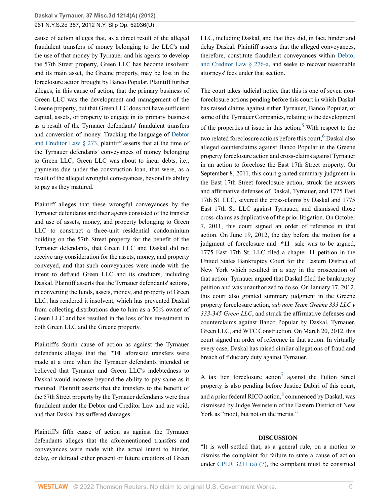cause of action alleges that, as a direct result of the alleged fraudulent transfers of money belonging to the LLC's and the use of that money by Tyrnauer and his agents to develop the 57th Street property, Green LLC has become insolvent and its main asset, the Greene property, may be lost in the foreclosure action brought by Banco Popular. Plaintiff further alleges, in this cause of action, that the primary business of Green LLC was the development and management of the Greene property, but that Green LLC does not have sufficient capital, assets, or property to engage in its primary business as a result of the Tyrnauer defendants' fraudulent transfers and conversion of money. Tracking the language of [Debtor](http://www.westlaw.com/Link/Document/FullText?findType=L&pubNum=1000067&cite=NYDCS273&originatingDoc=Ifc6eea031f9d11e2b66bbd5332e2d275&refType=LQ&originationContext=document&vr=3.0&rs=cblt1.0&transitionType=DocumentItem&contextData=(sc.UserEnteredCitation)) [and Creditor Law § 273,](http://www.westlaw.com/Link/Document/FullText?findType=L&pubNum=1000067&cite=NYDCS273&originatingDoc=Ifc6eea031f9d11e2b66bbd5332e2d275&refType=LQ&originationContext=document&vr=3.0&rs=cblt1.0&transitionType=DocumentItem&contextData=(sc.UserEnteredCitation)) plaintiff asserts that at the time of the Tyrnauer defendants' conveyances of money belonging to Green LLC, Green LLC was about to incur debts, i.e., payments due under the construction loan, that were, as a result of the alleged wrongful conveyances, beyond its ability to pay as they matured.

Plaintiff alleges that these wrongful conveyances by the Tyrnauer defendants and their agents consisted of the transfer and use of assets, money, and property belonging to Green LLC to construct a three-unit residential condominium building on the 57th Street property for the benefit of the Tyrnauer defendants, that Green LLC and Daskal did not receive any consideration for the assets, money, and property conveyed, and that such conveyances were made with the intent to defraud Green LLC and its creditors, including Daskal. Plaintiff asserts that the Tyrnauer defendants' actions, in converting the funds, assets, money, and property of Green LLC, has rendered it insolvent, which has prevented Daskal from collecting distributions due to him as a 50% owner of Green LLC and has resulted in the loss of his investment in both Green LLC and the Greene property.

Plaintiff's fourth cause of action as against the Tyrnauer defendants alleges that the **\*10** aforesaid transfers were made at a time when the Tyrnauer defendants intended or believed that Tyrnauer and Green LLC's indebtedness to Daskal would increase beyond the ability to pay same as it matured. Plaintiff asserts that the transfers to the benefit of the 57th Street property by the Tyrnauer defendants were thus fraudulent under the Debtor and Creditor Law and are void, and that Daskal has suffered damages.

Plaintiff's fifth cause of action as against the Tyrnauer defendants alleges that the aforementioned transfers and conveyances were made with the actual intent to hinder, delay, or defraud either present or future creditors of Green LLC, including Daskal, and that they did, in fact, hinder and delay Daskal. Plaintiff asserts that the alleged conveyances, therefore, constitute fraudulent conveyances within [Debtor](http://www.westlaw.com/Link/Document/FullText?findType=L&pubNum=1000067&cite=NYDCS276-A&originatingDoc=Ifc6eea031f9d11e2b66bbd5332e2d275&refType=LQ&originationContext=document&vr=3.0&rs=cblt1.0&transitionType=DocumentItem&contextData=(sc.UserEnteredCitation)) [and Creditor Law § 276-a,](http://www.westlaw.com/Link/Document/FullText?findType=L&pubNum=1000067&cite=NYDCS276-A&originatingDoc=Ifc6eea031f9d11e2b66bbd5332e2d275&refType=LQ&originationContext=document&vr=3.0&rs=cblt1.0&transitionType=DocumentItem&contextData=(sc.UserEnteredCitation)) and seeks to recover reasonable attorneys' fees under that section.

<span id="page-5-1"></span><span id="page-5-0"></span>The court takes judicial notice that this is one of seven nonforeclosure actions pending before this court in which Daskal has raised claims against either Tyrnauer, Banco Popular, or some of the Tyrnauer Companies, relating to the development of the properties at issue in this action.<sup>[5](#page-12-4)</sup> With respect to the two related foreclosure actions before this court, <sup>[6](#page-13-0)</sup> Daskal also alleged counterclaims against Banco Popular in the Greene property foreclosure action and cross-claims against Tyrnauer in an action to foreclose the East 17th Street property. On September 8, 2011, this court granted summary judgment in the East 17th Street foreclosure action, struck the answers and affirmative defenses of Daskal, Tyrnauer, and 1775 East 17th St. LLC, severed the cross-claims by Daskal and 1775 East 17th St. LLC against Tyrnauer, and dismissed those cross-claims as duplicative of the prior litigation. On October 7, 2011, this court signed an order of reference in that action. On June 19, 2012, the day before the motion for a judgment of foreclosure and **\*11** sale was to be argued, 1775 East 17th St. LLC filed a chapter 11 petition in the United States Bankruptcy Court for the Eastern District of New York which resulted in a stay in the prosecution of that action. Tyrnauer argued that Daskal filed the bankruptcy petition and was unauthorized to do so. On January 17, 2012, this court also granted summary judgment in the Greene property foreclosure action, *sub nom Team Greene 333 LLC v 333-345 Green LLC*, and struck the affirmative defenses and counterclaims against Banco Popular by Daskal, Tyrnauer, Green LLC, and WTC Construction. On March 20, 2012, this court signed an order of reference in that action. In virtually every case, Daskal has raised similar allegations of fraud and breach of fiduciary duty against Tyrnauer.

A tax lien foreclosure action<sup>[7](#page-13-1)</sup> against the Fulton Street property is also pending before Justice Dabiri of this court, and a prior federal RICO action, ${}^{8}$  ${}^{8}$  ${}^{8}$  commenced by Daskal, was dismissed by Judge Weinstein of the Eastern District of New York as "moot, but not on the merits."

### <span id="page-5-3"></span><span id="page-5-2"></span>**DISCUSSION**

"It is well settled that, as a general rule, on a motion to dismiss the complaint for failure to state a cause of action under [CPLR 3211 \(a\) \(7\),](http://www.westlaw.com/Link/Document/FullText?findType=L&pubNum=1000059&cite=NYCPR3211&originatingDoc=Ifc6eea031f9d11e2b66bbd5332e2d275&refType=LQ&originationContext=document&vr=3.0&rs=cblt1.0&transitionType=DocumentItem&contextData=(sc.UserEnteredCitation)) the complaint must be construed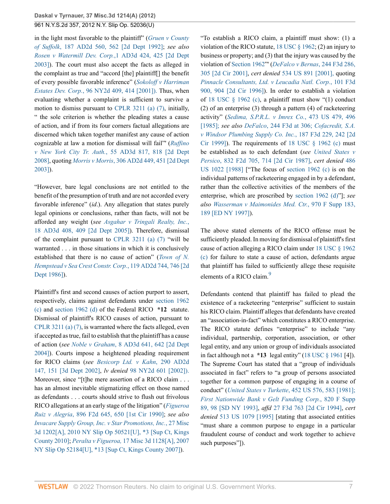in the light most favorable to the plaintiff" (*[Gruen v County](http://www.westlaw.com/Link/Document/FullText?findType=Y&pubNum=0000155&cite=187APPDIV2D560&originatingDoc=Ifc6eea031f9d11e2b66bbd5332e2d275&refType=RP&fi=co_pp_sp_155_562&originationContext=document&vr=3.0&rs=cblt1.0&transitionType=DocumentItem&contextData=(sc.UserEnteredCitation)#co_pp_sp_155_562) of Suffolk*[, 187 AD2d 560, 562 \[2d Dept 1992\];](http://www.westlaw.com/Link/Document/FullText?findType=Y&pubNum=0000155&cite=187APPDIV2D560&originatingDoc=Ifc6eea031f9d11e2b66bbd5332e2d275&refType=RP&fi=co_pp_sp_155_562&originationContext=document&vr=3.0&rs=cblt1.0&transitionType=DocumentItem&contextData=(sc.UserEnteredCitation)#co_pp_sp_155_562) *see also [Rosen v Watermill Dev. Corp.](http://www.westlaw.com/Link/Document/FullText?findType=Y&pubNum=0007049&cite=1AD3D424&originatingDoc=Ifc6eea031f9d11e2b66bbd5332e2d275&refType=RP&fi=co_pp_sp_7049_425&originationContext=document&vr=3.0&rs=cblt1.0&transitionType=DocumentItem&contextData=(sc.UserEnteredCitation)#co_pp_sp_7049_425)*,1 AD3d 424, 425 [2d Dept [2003\]](http://www.westlaw.com/Link/Document/FullText?findType=Y&pubNum=0007049&cite=1AD3D424&originatingDoc=Ifc6eea031f9d11e2b66bbd5332e2d275&refType=RP&fi=co_pp_sp_7049_425&originationContext=document&vr=3.0&rs=cblt1.0&transitionType=DocumentItem&contextData=(sc.UserEnteredCitation)#co_pp_sp_7049_425)). The court must also accept the facts as alleged in the complaint as true and "accord [the] plaintiff[] the benefit of every possible favorable inference" (*[Sokoloff v Harriman](http://www.westlaw.com/Link/Document/FullText?findType=Y&pubNum=605&cite=96NY2D409&originatingDoc=Ifc6eea031f9d11e2b66bbd5332e2d275&refType=RP&fi=co_pp_sp_605_414&originationContext=document&vr=3.0&rs=cblt1.0&transitionType=DocumentItem&contextData=(sc.UserEnteredCitation)#co_pp_sp_605_414) Estates Dev. Corp.*[, 96 NY2d 409, 414 \[2001\]\).](http://www.westlaw.com/Link/Document/FullText?findType=Y&pubNum=605&cite=96NY2D409&originatingDoc=Ifc6eea031f9d11e2b66bbd5332e2d275&refType=RP&fi=co_pp_sp_605_414&originationContext=document&vr=3.0&rs=cblt1.0&transitionType=DocumentItem&contextData=(sc.UserEnteredCitation)#co_pp_sp_605_414) Thus, when evaluating whether a complaint is sufficient to survive a motion to dismiss pursuant to [CPLR 3211 \(a\) \(7\)](http://www.westlaw.com/Link/Document/FullText?findType=L&pubNum=1000059&cite=NYCPR3211&originatingDoc=Ifc6eea031f9d11e2b66bbd5332e2d275&refType=LQ&originationContext=document&vr=3.0&rs=cblt1.0&transitionType=DocumentItem&contextData=(sc.UserEnteredCitation)), initially, " the sole criterion is whether the pleading states a cause of action, and if from its four corners factual allegations are discerned which taken together manifest any cause of action cognizable at law a motion for dismissal will fail"' (*[Ruffino](http://www.westlaw.com/Link/Document/FullText?findType=Y&pubNum=0007049&cite=55AD3D817&originatingDoc=Ifc6eea031f9d11e2b66bbd5332e2d275&refType=RP&fi=co_pp_sp_7049_818&originationContext=document&vr=3.0&rs=cblt1.0&transitionType=DocumentItem&contextData=(sc.UserEnteredCitation)#co_pp_sp_7049_818) v New York City Tr. Auth.*[, 55 AD3d 817, 818 \[2d Dept](http://www.westlaw.com/Link/Document/FullText?findType=Y&pubNum=0007049&cite=55AD3D817&originatingDoc=Ifc6eea031f9d11e2b66bbd5332e2d275&refType=RP&fi=co_pp_sp_7049_818&originationContext=document&vr=3.0&rs=cblt1.0&transitionType=DocumentItem&contextData=(sc.UserEnteredCitation)#co_pp_sp_7049_818) [2008\]](http://www.westlaw.com/Link/Document/FullText?findType=Y&pubNum=0007049&cite=55AD3D817&originatingDoc=Ifc6eea031f9d11e2b66bbd5332e2d275&refType=RP&fi=co_pp_sp_7049_818&originationContext=document&vr=3.0&rs=cblt1.0&transitionType=DocumentItem&contextData=(sc.UserEnteredCitation)#co_pp_sp_7049_818), quoting *Morris v Morris*[, 306 AD2d 449, 451 \[2d Dept](http://www.westlaw.com/Link/Document/FullText?findType=Y&pubNum=0000155&cite=306APPDIV2D449&originatingDoc=Ifc6eea031f9d11e2b66bbd5332e2d275&refType=RP&fi=co_pp_sp_155_451&originationContext=document&vr=3.0&rs=cblt1.0&transitionType=DocumentItem&contextData=(sc.UserEnteredCitation)#co_pp_sp_155_451) [2003\]](http://www.westlaw.com/Link/Document/FullText?findType=Y&pubNum=0000155&cite=306APPDIV2D449&originatingDoc=Ifc6eea031f9d11e2b66bbd5332e2d275&refType=RP&fi=co_pp_sp_155_451&originationContext=document&vr=3.0&rs=cblt1.0&transitionType=DocumentItem&contextData=(sc.UserEnteredCitation)#co_pp_sp_155_451)).

"However, bare legal conclusions are not entitled to the benefit of the presumption of truth and are not accorded every favorable inference" (*id*.). Any allegation that states purely legal opinions or conclusions, rather than facts, will not be afforded any weight (*see [Asgahar v Tringali Realty, Inc.](http://www.westlaw.com/Link/Document/FullText?findType=Y&pubNum=0007049&cite=18AD3D408&originatingDoc=Ifc6eea031f9d11e2b66bbd5332e2d275&refType=RP&fi=co_pp_sp_7049_409&originationContext=document&vr=3.0&rs=cblt1.0&transitionType=DocumentItem&contextData=(sc.UserEnteredCitation)#co_pp_sp_7049_409)*, [18 AD3d 408, 409 \[2d Dept 2005\]](http://www.westlaw.com/Link/Document/FullText?findType=Y&pubNum=0007049&cite=18AD3D408&originatingDoc=Ifc6eea031f9d11e2b66bbd5332e2d275&refType=RP&fi=co_pp_sp_7049_409&originationContext=document&vr=3.0&rs=cblt1.0&transitionType=DocumentItem&contextData=(sc.UserEnteredCitation)#co_pp_sp_7049_409)). Therefore, dismissal of the complaint pursuant to [CPLR 3211 \(a\) \(7\)](http://www.westlaw.com/Link/Document/FullText?findType=L&pubNum=1000059&cite=NYCPR3211&originatingDoc=Ifc6eea031f9d11e2b66bbd5332e2d275&refType=LQ&originationContext=document&vr=3.0&rs=cblt1.0&transitionType=DocumentItem&contextData=(sc.UserEnteredCitation)) "will be warranted . . . in those situations in which it is conclusively established that there is no cause of action" (*[Town of N.](http://www.westlaw.com/Link/Document/FullText?findType=Y&pubNum=0000155&cite=119APPDIV2D744&originatingDoc=Ifc6eea031f9d11e2b66bbd5332e2d275&refType=RP&fi=co_pp_sp_155_746&originationContext=document&vr=3.0&rs=cblt1.0&transitionType=DocumentItem&contextData=(sc.UserEnteredCitation)#co_pp_sp_155_746) [Hempstead v Sea Crest Constr. Corp.](http://www.westlaw.com/Link/Document/FullText?findType=Y&pubNum=0000155&cite=119APPDIV2D744&originatingDoc=Ifc6eea031f9d11e2b66bbd5332e2d275&refType=RP&fi=co_pp_sp_155_746&originationContext=document&vr=3.0&rs=cblt1.0&transitionType=DocumentItem&contextData=(sc.UserEnteredCitation)#co_pp_sp_155_746)*, 119 AD2d 744, 746 [2d [Dept 1986\]](http://www.westlaw.com/Link/Document/FullText?findType=Y&pubNum=0000155&cite=119APPDIV2D744&originatingDoc=Ifc6eea031f9d11e2b66bbd5332e2d275&refType=RP&fi=co_pp_sp_155_746&originationContext=document&vr=3.0&rs=cblt1.0&transitionType=DocumentItem&contextData=(sc.UserEnteredCitation)#co_pp_sp_155_746)).

Plaintiff's first and second causes of action purport to assert, respectively, claims against defendants under [section 1962](http://www.westlaw.com/Link/Document/FullText?findType=L&pubNum=1000546&cite=18USCAS1962&originatingDoc=Ifc6eea031f9d11e2b66bbd5332e2d275&refType=LQ&originationContext=document&vr=3.0&rs=cblt1.0&transitionType=DocumentItem&contextData=(sc.UserEnteredCitation)) [\(c\)](http://www.westlaw.com/Link/Document/FullText?findType=L&pubNum=1000546&cite=18USCAS1962&originatingDoc=Ifc6eea031f9d11e2b66bbd5332e2d275&refType=LQ&originationContext=document&vr=3.0&rs=cblt1.0&transitionType=DocumentItem&contextData=(sc.UserEnteredCitation)) and [section 1962 \(d\)](http://www.westlaw.com/Link/Document/FullText?findType=L&pubNum=1000546&cite=18USCAS1962&originatingDoc=Ifc6eea031f9d11e2b66bbd5332e2d275&refType=LQ&originationContext=document&vr=3.0&rs=cblt1.0&transitionType=DocumentItem&contextData=(sc.UserEnteredCitation)) of the Federal RICO **\*12** statute. Dismissal of plaintiff's RICO causes of action, pursuant to [CPLR 3211 \(a\) \(7\),](http://www.westlaw.com/Link/Document/FullText?findType=L&pubNum=1000059&cite=NYCPR3211&originatingDoc=Ifc6eea031f9d11e2b66bbd5332e2d275&refType=LQ&originationContext=document&vr=3.0&rs=cblt1.0&transitionType=DocumentItem&contextData=(sc.UserEnteredCitation)) is warranted where the facts alleged, even if accepted as true, fail to establish that the plaintiff has a cause of action (*see Noble v Graham*[, 8 AD3d 641, 642 \[2d Dept](http://www.westlaw.com/Link/Document/FullText?findType=Y&pubNum=0007049&cite=8AD3D641&originatingDoc=Ifc6eea031f9d11e2b66bbd5332e2d275&refType=RP&fi=co_pp_sp_7049_642&originationContext=document&vr=3.0&rs=cblt1.0&transitionType=DocumentItem&contextData=(sc.UserEnteredCitation)#co_pp_sp_7049_642) [2004\]](http://www.westlaw.com/Link/Document/FullText?findType=Y&pubNum=0007049&cite=8AD3D641&originatingDoc=Ifc6eea031f9d11e2b66bbd5332e2d275&refType=RP&fi=co_pp_sp_7049_642&originationContext=document&vr=3.0&rs=cblt1.0&transitionType=DocumentItem&contextData=(sc.UserEnteredCitation)#co_pp_sp_7049_642)). Courts impose a heightened pleading requirement for RICO claims (*see [Besicorp Ltd. v Kahn](http://www.westlaw.com/Link/Document/FullText?findType=Y&pubNum=0000155&cite=290APPDIV2D147&originatingDoc=Ifc6eea031f9d11e2b66bbd5332e2d275&refType=RP&fi=co_pp_sp_155_151&originationContext=document&vr=3.0&rs=cblt1.0&transitionType=DocumentItem&contextData=(sc.UserEnteredCitation)#co_pp_sp_155_151)*, 290 AD2d [147, 151 \[3d Dept 2002\]](http://www.westlaw.com/Link/Document/FullText?findType=Y&pubNum=0000155&cite=290APPDIV2D147&originatingDoc=Ifc6eea031f9d11e2b66bbd5332e2d275&refType=RP&fi=co_pp_sp_155_151&originationContext=document&vr=3.0&rs=cblt1.0&transitionType=DocumentItem&contextData=(sc.UserEnteredCitation)#co_pp_sp_155_151), *lv denied* [98 NY2d 601 \[2002\]\).](http://www.westlaw.com/Link/Document/FullText?findType=Y&pubNum=605&cite=98NY2D601&originatingDoc=Ifc6eea031f9d11e2b66bbd5332e2d275&refType=RP&originationContext=document&vr=3.0&rs=cblt1.0&transitionType=DocumentItem&contextData=(sc.UserEnteredCitation)) Moreover, since "[t]he mere assertion of a RICO claim . . . has an almost inevitable stigmatizing effect on those named as defendants . . . courts should strive to flush out frivolous RICO allegations at an early stage of the litigation" (*[Figueroa](http://www.westlaw.com/Link/Document/FullText?findType=Y&serNum=1990040178&pubNum=0000350&originatingDoc=Ifc6eea031f9d11e2b66bbd5332e2d275&refType=RP&fi=co_pp_sp_350_650&originationContext=document&vr=3.0&rs=cblt1.0&transitionType=DocumentItem&contextData=(sc.UserEnteredCitation)#co_pp_sp_350_650) Ruiz v Alegria*[, 896 F2d 645, 650 \[1st Cir 1990\]](http://www.westlaw.com/Link/Document/FullText?findType=Y&serNum=1990040178&pubNum=0000350&originatingDoc=Ifc6eea031f9d11e2b66bbd5332e2d275&refType=RP&fi=co_pp_sp_350_650&originationContext=document&vr=3.0&rs=cblt1.0&transitionType=DocumentItem&contextData=(sc.UserEnteredCitation)#co_pp_sp_350_650); *see also [Invacare Supply Group, Inc. v Star Promotions, Inc.](http://www.westlaw.com/Link/Document/FullText?findType=Y&pubNum=0004603&cite=2010NYSLIPOP50521%5bU%5d&originatingDoc=Ifc6eea031f9d11e2b66bbd5332e2d275&refType=RP&originationContext=document&vr=3.0&rs=cblt1.0&transitionType=DocumentItem&contextData=(sc.UserEnteredCitation))*, 27 Misc [3d 1202\[A\], 2010 NY Slip Op 50521\[U\], \\*3 \[Sup Ct, Kings](http://www.westlaw.com/Link/Document/FullText?findType=Y&pubNum=0004603&cite=2010NYSLIPOP50521%5bU%5d&originatingDoc=Ifc6eea031f9d11e2b66bbd5332e2d275&refType=RP&originationContext=document&vr=3.0&rs=cblt1.0&transitionType=DocumentItem&contextData=(sc.UserEnteredCitation)) [County 2010\];](http://www.westlaw.com/Link/Document/FullText?findType=Y&pubNum=0004603&cite=2010NYSLIPOP50521%5bU%5d&originatingDoc=Ifc6eea031f9d11e2b66bbd5332e2d275&refType=RP&originationContext=document&vr=3.0&rs=cblt1.0&transitionType=DocumentItem&contextData=(sc.UserEnteredCitation)) *Peralta v Figueroa,* [17 Misc 3d 1128\[A\], 2007](http://www.westlaw.com/Link/Document/FullText?findType=Y&pubNum=0004603&cite=2007NYSLIPOP52184%5bU%5d&originatingDoc=Ifc6eea031f9d11e2b66bbd5332e2d275&refType=RP&originationContext=document&vr=3.0&rs=cblt1.0&transitionType=DocumentItem&contextData=(sc.UserEnteredCitation)) [NY Slip Op 52184\[U\], \\*13 \[Sup Ct, Kings County 2007\]](http://www.westlaw.com/Link/Document/FullText?findType=Y&pubNum=0004603&cite=2007NYSLIPOP52184%5bU%5d&originatingDoc=Ifc6eea031f9d11e2b66bbd5332e2d275&refType=RP&originationContext=document&vr=3.0&rs=cblt1.0&transitionType=DocumentItem&contextData=(sc.UserEnteredCitation))).

"To establish a RICO claim, a plaintiff must show: (1) a violation of the RICO statute, [18 USC § 1962](http://www.westlaw.com/Link/Document/FullText?findType=L&pubNum=1000546&cite=18USCAS1962&originatingDoc=Ifc6eea031f9d11e2b66bbd5332e2d275&refType=LQ&originationContext=document&vr=3.0&rs=cblt1.0&transitionType=DocumentItem&contextData=(sc.UserEnteredCitation)); (2) an injury to business or property; and (3) that the injury was caused by the violation of [Section 1962"](http://www.westlaw.com/Link/Document/FullText?findType=L&pubNum=1000546&cite=18USCAS1962&originatingDoc=Ifc6eea031f9d11e2b66bbd5332e2d275&refType=LQ&originationContext=document&vr=3.0&rs=cblt1.0&transitionType=DocumentItem&contextData=(sc.UserEnteredCitation))' (*[DeFalco v Bernas](http://www.westlaw.com/Link/Document/FullText?findType=Y&serNum=2001226480&pubNum=0000506&originatingDoc=Ifc6eea031f9d11e2b66bbd5332e2d275&refType=RP&fi=co_pp_sp_506_305&originationContext=document&vr=3.0&rs=cblt1.0&transitionType=DocumentItem&contextData=(sc.UserEnteredCitation)#co_pp_sp_506_305)*, 244 F3d 286, [305 \[2d Cir 2001\],](http://www.westlaw.com/Link/Document/FullText?findType=Y&serNum=2001226480&pubNum=0000506&originatingDoc=Ifc6eea031f9d11e2b66bbd5332e2d275&refType=RP&fi=co_pp_sp_506_305&originationContext=document&vr=3.0&rs=cblt1.0&transitionType=DocumentItem&contextData=(sc.UserEnteredCitation)#co_pp_sp_506_305) *cert denied* [534 US 891 \[2001\],](http://www.westlaw.com/Link/Document/FullText?findType=Y&serNum=2001668814&pubNum=780&originatingDoc=Ifc6eea031f9d11e2b66bbd5332e2d275&refType=RP&originationContext=document&vr=3.0&rs=cblt1.0&transitionType=DocumentItem&contextData=(sc.UserEnteredCitation)) quoting *[Pinnacle Consultants, Ltd. v Leucadia Natl. Corp.](http://www.westlaw.com/Link/Document/FullText?findType=Y&serNum=1996270993&pubNum=0000506&originatingDoc=Ifc6eea031f9d11e2b66bbd5332e2d275&refType=RP&fi=co_pp_sp_506_904&originationContext=document&vr=3.0&rs=cblt1.0&transitionType=DocumentItem&contextData=(sc.UserEnteredCitation)#co_pp_sp_506_904)*, 101 F3d [900, 904 \[2d Cir 1996\]](http://www.westlaw.com/Link/Document/FullText?findType=Y&serNum=1996270993&pubNum=0000506&originatingDoc=Ifc6eea031f9d11e2b66bbd5332e2d275&refType=RP&fi=co_pp_sp_506_904&originationContext=document&vr=3.0&rs=cblt1.0&transitionType=DocumentItem&contextData=(sc.UserEnteredCitation)#co_pp_sp_506_904)). In order to establish a violation of 18 USC  $\S$  1962 (c), a plaintiff must show "(1) conduct (2) of an enterprise (3) through a pattern (4) of racketeering activity" (*[Sedima, S.P.R.L. v Imrex Co.](http://www.westlaw.com/Link/Document/FullText?findType=Y&pubNum=780&cite=473US479&originatingDoc=Ifc6eea031f9d11e2b66bbd5332e2d275&refType=RP&fi=co_pp_sp_780_496&originationContext=document&vr=3.0&rs=cblt1.0&transitionType=DocumentItem&contextData=(sc.UserEnteredCitation)#co_pp_sp_780_496)*, 473 US 479, 496 [\[1985\];](http://www.westlaw.com/Link/Document/FullText?findType=Y&pubNum=780&cite=473US479&originatingDoc=Ifc6eea031f9d11e2b66bbd5332e2d275&refType=RP&fi=co_pp_sp_780_496&originationContext=document&vr=3.0&rs=cblt1.0&transitionType=DocumentItem&contextData=(sc.UserEnteredCitation)#co_pp_sp_780_496) *see also DeFalco*[, 244 F3d at 306;](http://www.westlaw.com/Link/Document/FullText?findType=Y&serNum=2001226480&pubNum=506&originatingDoc=Ifc6eea031f9d11e2b66bbd5332e2d275&refType=RP&fi=co_pp_sp_506_306&originationContext=document&vr=3.0&rs=cblt1.0&transitionType=DocumentItem&contextData=(sc.UserEnteredCitation)#co_pp_sp_506_306) *[Cofacredit, S.A.](http://www.westlaw.com/Link/Document/FullText?findType=Y&serNum=1999182137&pubNum=0000506&originatingDoc=Ifc6eea031f9d11e2b66bbd5332e2d275&refType=RP&fi=co_pp_sp_506_242&originationContext=document&vr=3.0&rs=cblt1.0&transitionType=DocumentItem&contextData=(sc.UserEnteredCitation)#co_pp_sp_506_242) [v Windsor Plumbing Supply Co. Inc.](http://www.westlaw.com/Link/Document/FullText?findType=Y&serNum=1999182137&pubNum=0000506&originatingDoc=Ifc6eea031f9d11e2b66bbd5332e2d275&refType=RP&fi=co_pp_sp_506_242&originationContext=document&vr=3.0&rs=cblt1.0&transitionType=DocumentItem&contextData=(sc.UserEnteredCitation)#co_pp_sp_506_242)*, 187 F3d 229, 242 [2d [Cir 1999\]](http://www.westlaw.com/Link/Document/FullText?findType=Y&serNum=1999182137&pubNum=0000506&originatingDoc=Ifc6eea031f9d11e2b66bbd5332e2d275&refType=RP&fi=co_pp_sp_506_242&originationContext=document&vr=3.0&rs=cblt1.0&transitionType=DocumentItem&contextData=(sc.UserEnteredCitation)#co_pp_sp_506_242)). The requirements of 18 USC  $\S$  1962 (c) must be established as to each defendant (*see [United States v](http://www.westlaw.com/Link/Document/FullText?findType=Y&serNum=1987133437&pubNum=0000350&originatingDoc=Ifc6eea031f9d11e2b66bbd5332e2d275&refType=RP&fi=co_pp_sp_350_714&originationContext=document&vr=3.0&rs=cblt1.0&transitionType=DocumentItem&contextData=(sc.UserEnteredCitation)#co_pp_sp_350_714) Persico*[, 832 F2d 705, 714 \[2d Cir 1987\],](http://www.westlaw.com/Link/Document/FullText?findType=Y&serNum=1987133437&pubNum=0000350&originatingDoc=Ifc6eea031f9d11e2b66bbd5332e2d275&refType=RP&fi=co_pp_sp_350_714&originationContext=document&vr=3.0&rs=cblt1.0&transitionType=DocumentItem&contextData=(sc.UserEnteredCitation)#co_pp_sp_350_714) *cert denied* [486](http://www.westlaw.com/Link/Document/FullText?findType=Y&pubNum=0000780&cite=486US1022&originatingDoc=Ifc6eea031f9d11e2b66bbd5332e2d275&refType=RP&originationContext=document&vr=3.0&rs=cblt1.0&transitionType=DocumentItem&contextData=(sc.UserEnteredCitation)) [US 1022 \[1988\]](http://www.westlaw.com/Link/Document/FullText?findType=Y&pubNum=0000780&cite=486US1022&originatingDoc=Ifc6eea031f9d11e2b66bbd5332e2d275&refType=RP&originationContext=document&vr=3.0&rs=cblt1.0&transitionType=DocumentItem&contextData=(sc.UserEnteredCitation)) ["The focus of [section 1962 \(c\)](http://www.westlaw.com/Link/Document/FullText?findType=L&pubNum=1000546&cite=18USCAS1962&originatingDoc=Ifc6eea031f9d11e2b66bbd5332e2d275&refType=LQ&originationContext=document&vr=3.0&rs=cblt1.0&transitionType=DocumentItem&contextData=(sc.UserEnteredCitation)) is on the individual patterns of racketeering engaged in by a defendant, rather than the collective activities of the members of the enterprise, which are proscribed by [section 1962 \(d\)](http://www.westlaw.com/Link/Document/FullText?findType=L&pubNum=1000546&cite=18USCAS1962&originatingDoc=Ifc6eea031f9d11e2b66bbd5332e2d275&refType=LQ&originationContext=document&vr=3.0&rs=cblt1.0&transitionType=DocumentItem&contextData=(sc.UserEnteredCitation))"]; *see also [Wasserman v Maimonides Med. Ctr.](http://www.westlaw.com/Link/Document/FullText?findType=Y&serNum=1997153175&pubNum=0000345&originatingDoc=Ifc6eea031f9d11e2b66bbd5332e2d275&refType=RP&fi=co_pp_sp_345_189&originationContext=document&vr=3.0&rs=cblt1.0&transitionType=DocumentItem&contextData=(sc.UserEnteredCitation)#co_pp_sp_345_189)*, 970 F Supp 183, [189 \[ED NY 1997\]\)](http://www.westlaw.com/Link/Document/FullText?findType=Y&serNum=1997153175&pubNum=0000345&originatingDoc=Ifc6eea031f9d11e2b66bbd5332e2d275&refType=RP&fi=co_pp_sp_345_189&originationContext=document&vr=3.0&rs=cblt1.0&transitionType=DocumentItem&contextData=(sc.UserEnteredCitation)#co_pp_sp_345_189).

The above stated elements of the RICO offense must be sufficiently pleaded. In moving for dismissal of plaintiff's first cause of action alleging a RICO claim under [18 USC § 1962](http://www.westlaw.com/Link/Document/FullText?findType=L&pubNum=1000546&cite=18USCAS1962&originatingDoc=Ifc6eea031f9d11e2b66bbd5332e2d275&refType=LQ&originationContext=document&vr=3.0&rs=cblt1.0&transitionType=DocumentItem&contextData=(sc.UserEnteredCitation)) [\(c\)](http://www.westlaw.com/Link/Document/FullText?findType=L&pubNum=1000546&cite=18USCAS1962&originatingDoc=Ifc6eea031f9d11e2b66bbd5332e2d275&refType=LQ&originationContext=document&vr=3.0&rs=cblt1.0&transitionType=DocumentItem&contextData=(sc.UserEnteredCitation)) for failure to state a cause of action, defendants argue that plaintiff has failed to sufficiently allege these requisite elements of a RICO claim.<sup>[9](#page-13-3)</sup>

<span id="page-6-0"></span>Defendants contend that plaintiff has failed to plead the existence of a racketeering "enterprise" sufficient to sustain his RICO claim. Plaintiff alleges that defendants have created an "association-in-fact" which constitutes a RICO enterprise. The RICO statute defines "enterprise" to include "any individual, partnership, corporation, association, or other legal entity, and any union or group of individuals associated in fact although not a **\*13** legal entity" ([18 USC § 1961](http://www.westlaw.com/Link/Document/FullText?findType=L&pubNum=1000546&cite=18USCAS1961&originatingDoc=Ifc6eea031f9d11e2b66bbd5332e2d275&refType=LQ&originationContext=document&vr=3.0&rs=cblt1.0&transitionType=DocumentItem&contextData=(sc.UserEnteredCitation)) [4]). The Supreme Court has stated that a "group of individuals associated in fact" refers to "a group of persons associated together for a common purpose of engaging in a course of conduct" (*United States v Turkette*[, 452 US 576, 583 \[1981\];](http://www.westlaw.com/Link/Document/FullText?findType=Y&serNum=1981126815&pubNum=780&originatingDoc=Ifc6eea031f9d11e2b66bbd5332e2d275&refType=RP&fi=co_pp_sp_780_583&originationContext=document&vr=3.0&rs=cblt1.0&transitionType=DocumentItem&contextData=(sc.UserEnteredCitation)#co_pp_sp_780_583) *[First Nationwide Bank v Gelt Funding Corp.](http://www.westlaw.com/Link/Document/FullText?findType=Y&serNum=1993089652&pubNum=0000345&originatingDoc=Ifc6eea031f9d11e2b66bbd5332e2d275&refType=RP&fi=co_pp_sp_345_98&originationContext=document&vr=3.0&rs=cblt1.0&transitionType=DocumentItem&contextData=(sc.UserEnteredCitation)#co_pp_sp_345_98)*, 820 F Supp [89, 98 \[SD NY 1993\],](http://www.westlaw.com/Link/Document/FullText?findType=Y&serNum=1993089652&pubNum=0000345&originatingDoc=Ifc6eea031f9d11e2b66bbd5332e2d275&refType=RP&fi=co_pp_sp_345_98&originationContext=document&vr=3.0&rs=cblt1.0&transitionType=DocumentItem&contextData=(sc.UserEnteredCitation)#co_pp_sp_345_98) *affd* [27 F3d 763 \[2d Cir 1994\],](http://www.westlaw.com/Link/Document/FullText?findType=Y&serNum=1994126640&pubNum=0000506&originatingDoc=Ifc6eea031f9d11e2b66bbd5332e2d275&refType=RP&originationContext=document&vr=3.0&rs=cblt1.0&transitionType=DocumentItem&contextData=(sc.UserEnteredCitation)) *cert denied* [513 US 1079 \[1995\]](http://www.westlaw.com/Link/Document/FullText?findType=Y&serNum=1994218677&pubNum=0000780&originatingDoc=Ifc6eea031f9d11e2b66bbd5332e2d275&refType=RP&originationContext=document&vr=3.0&rs=cblt1.0&transitionType=DocumentItem&contextData=(sc.UserEnteredCitation)) [stating that associated entities "must share a common purpose to engage in a particular fraudulent course of conduct and work together to achieve such purposes"]).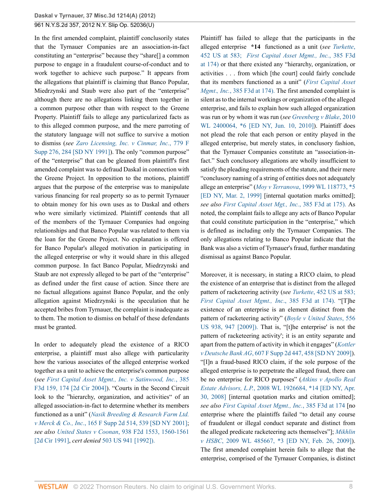In the first amended complaint, plaintiff conclusorily states that the Tyrnauer Companies are an association-in-fact constituting an "enterprise" because they "share[] a common purpose to engage in a fraudulent course-of-conduct and to work together to achieve such purpose." It appears from the allegations that plaintiff is claiming that Banco Popular, Miedrzynski and Staub were also part of the "enterprise" although there are no allegations linking them together in a common purpose other than with respect to the Greene Property. Plaintiff fails to allege any particularized facts as to this alleged common purpose, and the mere parroting of the statutory language will not suffice to survive a motion to dismiss (*see [Zaro Licensing, Inc. v Cinmar, Inc.](http://www.westlaw.com/Link/Document/FullText?findType=Y&serNum=1991196658&pubNum=0000345&originatingDoc=Ifc6eea031f9d11e2b66bbd5332e2d275&refType=RP&fi=co_pp_sp_345_284&originationContext=document&vr=3.0&rs=cblt1.0&transitionType=DocumentItem&contextData=(sc.UserEnteredCitation)#co_pp_sp_345_284)*, 779 F [Supp 276, 284 \[SD NY 1991\]\)](http://www.westlaw.com/Link/Document/FullText?findType=Y&serNum=1991196658&pubNum=0000345&originatingDoc=Ifc6eea031f9d11e2b66bbd5332e2d275&refType=RP&fi=co_pp_sp_345_284&originationContext=document&vr=3.0&rs=cblt1.0&transitionType=DocumentItem&contextData=(sc.UserEnteredCitation)#co_pp_sp_345_284). The only "common purpose" of the "enterprise" that can be gleaned from plaintiff's first amended complaint was to defraud Daskal in connection with the Greene Project. In opposition to the motions, plaintiff argues that the purpose of the enterprise was to manipulate various financing for real property so as to permit Tyrnauer to obtain money for his own uses as to Daskal and others who were similarly victimized. Plaintiff contends that all of the members of the Tyrnauer Companies had ongoing relationships and that Banco Popular was related to them via the loan for the Greene Project. No explanation is offered for Banco Popular's alleged motivation in participating in the alleged enterprise or why it would share in this alleged common purpose. In fact Banco Popular, Miedrzynski and Staub are not expressly alleged to be part of the "enterprise" as defined under the first cause of action. Since there are no factual allegations against Banco Popular, and the only allegation against Miedrzynski is the speculation that he accepted bribes from Tyrnauer, the complaint is inadequate as to them. The motion to dismiss on behalf of these defendants must be granted.

In order to adequately plead the existence of a RICO enterprise, a plaintiff must also allege with particularity how the various associates of the alleged enterprise worked together as a unit to achieve the enterprise's common purpose (*see [First Capital Asset Mgmt., Inc. v Satinwood, Inc.](http://www.westlaw.com/Link/Document/FullText?findType=Y&serNum=2005153461&pubNum=0000506&originatingDoc=Ifc6eea031f9d11e2b66bbd5332e2d275&refType=RP&fi=co_pp_sp_506_174&originationContext=document&vr=3.0&rs=cblt1.0&transitionType=DocumentItem&contextData=(sc.UserEnteredCitation)#co_pp_sp_506_174)*, 385 [F3d 159, 174 \[2d Cir 2004\]](http://www.westlaw.com/Link/Document/FullText?findType=Y&serNum=2005153461&pubNum=0000506&originatingDoc=Ifc6eea031f9d11e2b66bbd5332e2d275&refType=RP&fi=co_pp_sp_506_174&originationContext=document&vr=3.0&rs=cblt1.0&transitionType=DocumentItem&contextData=(sc.UserEnteredCitation)#co_pp_sp_506_174)). "Courts in the Second Circuit look to the "hierarchy, organization, and activities" of an alleged association-in-fact to determine whether its members functioned as a unit" (*[Nasik Breeding & Research Farm Ltd.](http://www.westlaw.com/Link/Document/FullText?findType=Y&serNum=2001763982&pubNum=0004637&originatingDoc=Ifc6eea031f9d11e2b66bbd5332e2d275&refType=RP&fi=co_pp_sp_4637_539&originationContext=document&vr=3.0&rs=cblt1.0&transitionType=DocumentItem&contextData=(sc.UserEnteredCitation)#co_pp_sp_4637_539) v Merck & Co., Inc.*[, 165 F Supp 2d 514, 539 \[SD NY 2001\]](http://www.westlaw.com/Link/Document/FullText?findType=Y&serNum=2001763982&pubNum=0004637&originatingDoc=Ifc6eea031f9d11e2b66bbd5332e2d275&refType=RP&fi=co_pp_sp_4637_539&originationContext=document&vr=3.0&rs=cblt1.0&transitionType=DocumentItem&contextData=(sc.UserEnteredCitation)#co_pp_sp_4637_539); *see also United States v Coonan*[, 938 F2d 1553, 1560-1561](http://www.westlaw.com/Link/Document/FullText?findType=Y&serNum=1991126541&pubNum=0000350&originatingDoc=Ifc6eea031f9d11e2b66bbd5332e2d275&refType=RP&fi=co_pp_sp_350_1560&originationContext=document&vr=3.0&rs=cblt1.0&transitionType=DocumentItem&contextData=(sc.UserEnteredCitation)#co_pp_sp_350_1560) [\[2d Cir 1991\]](http://www.westlaw.com/Link/Document/FullText?findType=Y&serNum=1991126541&pubNum=0000350&originatingDoc=Ifc6eea031f9d11e2b66bbd5332e2d275&refType=RP&fi=co_pp_sp_350_1560&originationContext=document&vr=3.0&rs=cblt1.0&transitionType=DocumentItem&contextData=(sc.UserEnteredCitation)#co_pp_sp_350_1560), *cert denied* [503 US 941 \[1992\]\).](http://www.westlaw.com/Link/Document/FullText?findType=Y&serNum=1992016641&pubNum=780&originatingDoc=Ifc6eea031f9d11e2b66bbd5332e2d275&refType=RP&originationContext=document&vr=3.0&rs=cblt1.0&transitionType=DocumentItem&contextData=(sc.UserEnteredCitation))

Plaintiff has failed to allege that the participants in the alleged enterprise **\*14** functioned as a unit (*see [Turkette](http://www.westlaw.com/Link/Document/FullText?findType=Y&serNum=1981126815&pubNum=780&originatingDoc=Ifc6eea031f9d11e2b66bbd5332e2d275&refType=RP&fi=co_pp_sp_780_583&originationContext=document&vr=3.0&rs=cblt1.0&transitionType=DocumentItem&contextData=(sc.UserEnteredCitation)#co_pp_sp_780_583)*, [452 US at 583;](http://www.westlaw.com/Link/Document/FullText?findType=Y&serNum=1981126815&pubNum=780&originatingDoc=Ifc6eea031f9d11e2b66bbd5332e2d275&refType=RP&fi=co_pp_sp_780_583&originationContext=document&vr=3.0&rs=cblt1.0&transitionType=DocumentItem&contextData=(sc.UserEnteredCitation)#co_pp_sp_780_583) *[First Capital Asset Mgmt., Inc.](http://www.westlaw.com/Link/Document/FullText?findType=Y&serNum=2005153461&pubNum=506&originatingDoc=Ifc6eea031f9d11e2b66bbd5332e2d275&refType=RP&fi=co_pp_sp_506_174&originationContext=document&vr=3.0&rs=cblt1.0&transitionType=DocumentItem&contextData=(sc.UserEnteredCitation)#co_pp_sp_506_174)*, 385 F3d [at 174\)](http://www.westlaw.com/Link/Document/FullText?findType=Y&serNum=2005153461&pubNum=506&originatingDoc=Ifc6eea031f9d11e2b66bbd5332e2d275&refType=RP&fi=co_pp_sp_506_174&originationContext=document&vr=3.0&rs=cblt1.0&transitionType=DocumentItem&contextData=(sc.UserEnteredCitation)#co_pp_sp_506_174) or that there existed any "hierarchy, organization, or activities . . . from which [the court] could fairly conclude that its members functioned as a unit" (*[First Capital Asset](http://www.westlaw.com/Link/Document/FullText?findType=Y&serNum=2005153461&pubNum=506&originatingDoc=Ifc6eea031f9d11e2b66bbd5332e2d275&refType=RP&fi=co_pp_sp_506_174&originationContext=document&vr=3.0&rs=cblt1.0&transitionType=DocumentItem&contextData=(sc.UserEnteredCitation)#co_pp_sp_506_174) Mgmt*.*, Inc.*[, 385 F3d at 174\).](http://www.westlaw.com/Link/Document/FullText?findType=Y&serNum=2005153461&pubNum=506&originatingDoc=Ifc6eea031f9d11e2b66bbd5332e2d275&refType=RP&fi=co_pp_sp_506_174&originationContext=document&vr=3.0&rs=cblt1.0&transitionType=DocumentItem&contextData=(sc.UserEnteredCitation)#co_pp_sp_506_174) The first amended complaint is silent as to the internal workings or organization of the alleged enterprise, and fails to explain how such alleged organization was run or by whom it was run (*see [Greenberg v Blake](http://www.westlaw.com/Link/Document/FullText?findType=Y&serNum=2022318792&pubNum=0000999&originatingDoc=Ifc6eea031f9d11e2b66bbd5332e2d275&refType=RP&originationContext=document&vr=3.0&rs=cblt1.0&transitionType=DocumentItem&contextData=(sc.UserEnteredCitation))*, 2010 [WL 2400064, \\*6 \[ED NY, Jun. 10, 2010\]\)](http://www.westlaw.com/Link/Document/FullText?findType=Y&serNum=2022318792&pubNum=0000999&originatingDoc=Ifc6eea031f9d11e2b66bbd5332e2d275&refType=RP&originationContext=document&vr=3.0&rs=cblt1.0&transitionType=DocumentItem&contextData=(sc.UserEnteredCitation)). Plaintiff does not plead the role that each person or entity played in the alleged enterprise, but merely states, in conclusory fashion, that the Tyrnauer Companies constitute an "association-infact." Such conclusory allegations are wholly insufficient to satisfy the pleading requirements of the statute, and their mere "conclusory naming of a string of entities does not adequately allege an enterprise" (*Moy v Terranova*[, 1999 WL 118773, \\*5](http://www.westlaw.com/Link/Document/FullText?findType=Y&serNum=1999073068&pubNum=0000999&originatingDoc=Ifc6eea031f9d11e2b66bbd5332e2d275&refType=RP&originationContext=document&vr=3.0&rs=cblt1.0&transitionType=DocumentItem&contextData=(sc.UserEnteredCitation)) [\[ED NY, Mar. 2, 1999\]](http://www.westlaw.com/Link/Document/FullText?findType=Y&serNum=1999073068&pubNum=0000999&originatingDoc=Ifc6eea031f9d11e2b66bbd5332e2d275&refType=RP&originationContext=document&vr=3.0&rs=cblt1.0&transitionType=DocumentItem&contextData=(sc.UserEnteredCitation)) [internal quotation marks omitted]; *see also [First Capital Asset Mgt., Inc.](http://www.westlaw.com/Link/Document/FullText?findType=Y&serNum=2005153461&pubNum=506&originatingDoc=Ifc6eea031f9d11e2b66bbd5332e2d275&refType=RP&fi=co_pp_sp_506_175&originationContext=document&vr=3.0&rs=cblt1.0&transitionType=DocumentItem&contextData=(sc.UserEnteredCitation)#co_pp_sp_506_175)*, 385 F3d at 175). As noted, the complaint fails to allege any acts of Banco Popular that could constitute participation in the "enterprise," which is defined as including only the Tyrnauer Companies. The only allegations relating to Banco Popular indicate that the Bank was also a victim of Tyrnauer's fraud, further mandating dismissal as against Banco Popular.

Moreover, it is necessary, in stating a RICO claim, to plead the existence of an enterprise that is distinct from the alleged pattern of racketeering activity (*see Turkette*[, 452 US at 583;](http://www.westlaw.com/Link/Document/FullText?findType=Y&serNum=1981126815&pubNum=780&originatingDoc=Ifc6eea031f9d11e2b66bbd5332e2d275&refType=RP&fi=co_pp_sp_780_583&originationContext=document&vr=3.0&rs=cblt1.0&transitionType=DocumentItem&contextData=(sc.UserEnteredCitation)#co_pp_sp_780_583) *[First Capital Asset Mgmt., Inc](http://www.westlaw.com/Link/Document/FullText?findType=Y&serNum=2005153461&pubNum=506&originatingDoc=Ifc6eea031f9d11e2b66bbd5332e2d275&refType=RP&fi=co_pp_sp_506_174&originationContext=document&vr=3.0&rs=cblt1.0&transitionType=DocumentItem&contextData=(sc.UserEnteredCitation)#co_pp_sp_506_174)*., 385 F3d at 174). "[T]he existence of an enterprise is an element distinct from the pattern of racketeering activity" (*[Boyle v United States](http://www.westlaw.com/Link/Document/FullText?findType=Y&serNum=2018990389&pubNum=780&originatingDoc=Ifc6eea031f9d11e2b66bbd5332e2d275&refType=RP&fi=co_pp_sp_780_947&originationContext=document&vr=3.0&rs=cblt1.0&transitionType=DocumentItem&contextData=(sc.UserEnteredCitation)#co_pp_sp_780_947)*, 556 [US 938, 947 \[2009\]\).](http://www.westlaw.com/Link/Document/FullText?findType=Y&serNum=2018990389&pubNum=780&originatingDoc=Ifc6eea031f9d11e2b66bbd5332e2d275&refType=RP&fi=co_pp_sp_780_947&originationContext=document&vr=3.0&rs=cblt1.0&transitionType=DocumentItem&contextData=(sc.UserEnteredCitation)#co_pp_sp_780_947) That is, "[t]he enterprise' is not the pattern of racketeering activity'; it is an entity separate and apart from the pattern of activity in which it engages" (*[Kottler](http://www.westlaw.com/Link/Document/FullText?findType=Y&serNum=2017859883&pubNum=0004637&originatingDoc=Ifc6eea031f9d11e2b66bbd5332e2d275&refType=RP&fi=co_pp_sp_4637_458&originationContext=document&vr=3.0&rs=cblt1.0&transitionType=DocumentItem&contextData=(sc.UserEnteredCitation)#co_pp_sp_4637_458) v Deutsche Bank AG*[, 607 F Supp 2d 447, 458 \[SD NY 2009\]](http://www.westlaw.com/Link/Document/FullText?findType=Y&serNum=2017859883&pubNum=0004637&originatingDoc=Ifc6eea031f9d11e2b66bbd5332e2d275&refType=RP&fi=co_pp_sp_4637_458&originationContext=document&vr=3.0&rs=cblt1.0&transitionType=DocumentItem&contextData=(sc.UserEnteredCitation)#co_pp_sp_4637_458)). "[I]n a fraud-based RICO claim, if the sole purpose of the alleged enterprise is to perpetrate the alleged fraud, there can be no enterprise for RICO purposes" (*[Atkins v Apollo Real](http://www.westlaw.com/Link/Document/FullText?findType=Y&serNum=2015944969&pubNum=0000999&originatingDoc=Ifc6eea031f9d11e2b66bbd5332e2d275&refType=RP&originationContext=document&vr=3.0&rs=cblt1.0&transitionType=DocumentItem&contextData=(sc.UserEnteredCitation)) Estate Advisors, L.P.*[, 2008 WL 1926684, \\*14 \[ED NY, Apr.](http://www.westlaw.com/Link/Document/FullText?findType=Y&serNum=2015944969&pubNum=0000999&originatingDoc=Ifc6eea031f9d11e2b66bbd5332e2d275&refType=RP&originationContext=document&vr=3.0&rs=cblt1.0&transitionType=DocumentItem&contextData=(sc.UserEnteredCitation)) [30, 2008\]](http://www.westlaw.com/Link/Document/FullText?findType=Y&serNum=2015944969&pubNum=0000999&originatingDoc=Ifc6eea031f9d11e2b66bbd5332e2d275&refType=RP&originationContext=document&vr=3.0&rs=cblt1.0&transitionType=DocumentItem&contextData=(sc.UserEnteredCitation)) [internal quotation marks and citation omitted]; *see also [First Capital Asset Mgmt., Inc.](http://www.westlaw.com/Link/Document/FullText?findType=Y&serNum=2005153461&pubNum=0000506&originatingDoc=Ifc6eea031f9d11e2b66bbd5332e2d275&refType=RP&fi=co_pp_sp_506_174&originationContext=document&vr=3.0&rs=cblt1.0&transitionType=DocumentItem&contextData=(sc.UserEnteredCitation)#co_pp_sp_506_174)*, 385 F3d at 174 [no enterprise where the plaintiffs failed "to detail any course of fraudulent or illegal conduct separate and distinct from the alleged predicate racketeering acts themselves"]; *[Mikhlin](http://www.westlaw.com/Link/Document/FullText?findType=Y&serNum=2018235367&pubNum=0000999&originatingDoc=Ifc6eea031f9d11e2b66bbd5332e2d275&refType=RP&originationContext=document&vr=3.0&rs=cblt1.0&transitionType=DocumentItem&contextData=(sc.UserEnteredCitation)) v HSBC*[, 2009 WL 485667, \\*3 \[ED NY, Feb. 26, 2009\]](http://www.westlaw.com/Link/Document/FullText?findType=Y&serNum=2018235367&pubNum=0000999&originatingDoc=Ifc6eea031f9d11e2b66bbd5332e2d275&refType=RP&originationContext=document&vr=3.0&rs=cblt1.0&transitionType=DocumentItem&contextData=(sc.UserEnteredCitation))). The first amended complaint herein fails to allege that the enterprise, comprised of the Tyrnauer Companies, is distinct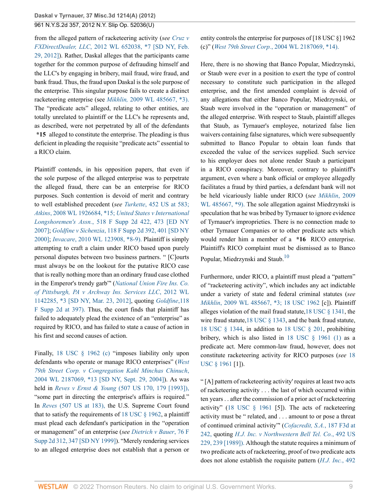from the alleged pattern of racketeering activity (*see [Cruz v](http://www.westlaw.com/Link/Document/FullText?findType=Y&serNum=2027227607&pubNum=0000999&originatingDoc=Ifc6eea031f9d11e2b66bbd5332e2d275&refType=RP&originationContext=document&vr=3.0&rs=cblt1.0&transitionType=DocumentItem&contextData=(sc.UserEnteredCitation)) FXDirectDealer, LLC*[, 2012 WL 652038, \\*7 \[SD NY, Feb.](http://www.westlaw.com/Link/Document/FullText?findType=Y&serNum=2027227607&pubNum=0000999&originatingDoc=Ifc6eea031f9d11e2b66bbd5332e2d275&refType=RP&originationContext=document&vr=3.0&rs=cblt1.0&transitionType=DocumentItem&contextData=(sc.UserEnteredCitation)) [29, 2012\]\)](http://www.westlaw.com/Link/Document/FullText?findType=Y&serNum=2027227607&pubNum=0000999&originatingDoc=Ifc6eea031f9d11e2b66bbd5332e2d275&refType=RP&originationContext=document&vr=3.0&rs=cblt1.0&transitionType=DocumentItem&contextData=(sc.UserEnteredCitation)). Rather, Daskal alleges that the participants came together for the common purpose of defrauding himself and the LLC's by engaging in bribery, mail fraud, wire fraud, and bank fraud. Thus, the fraud upon Daskal is the sole purpose of the enterprise. This singular purpose fails to create a distinct racketeering enterprise (see *Mikhlin,* [2009 WL 485667, \\*3\).](http://www.westlaw.com/Link/Document/FullText?findType=Y&serNum=2018235367&pubNum=999&originatingDoc=Ifc6eea031f9d11e2b66bbd5332e2d275&refType=RP&originationContext=document&vr=3.0&rs=cblt1.0&transitionType=DocumentItem&contextData=(sc.UserEnteredCitation)) The "predicate acts" alleged, relating to other entities, are totally unrelated to plaintiff or the LLC's he represents and, as described, were not perpetrated by all of the defendants **\*15** alleged to constitute the enterprise. The pleading is thus deficient in pleading the requisite "predicate acts" essential to a RICO claim.

Plaintiff contends, in his opposition papers, that even if the sole purpose of the alleged enterprise was to perpetrate the alleged fraud, there can be an enterprise for RICO purposes. Such contention is devoid of merit and contrary to well established precedent (*see Turkette*[, 452 US at 583;](http://www.westlaw.com/Link/Document/FullText?findType=Y&serNum=1981126815&pubNum=780&originatingDoc=Ifc6eea031f9d11e2b66bbd5332e2d275&refType=RP&fi=co_pp_sp_780_583&originationContext=document&vr=3.0&rs=cblt1.0&transitionType=DocumentItem&contextData=(sc.UserEnteredCitation)#co_pp_sp_780_583) *Atkins*[, 2008 WL 1926684, \\*15;](http://www.westlaw.com/Link/Document/FullText?findType=Y&serNum=2015944969&pubNum=999&originatingDoc=Ifc6eea031f9d11e2b66bbd5332e2d275&refType=RP&originationContext=document&vr=3.0&rs=cblt1.0&transitionType=DocumentItem&contextData=(sc.UserEnteredCitation)) *[United States v International](http://www.westlaw.com/Link/Document/FullText?findType=Y&serNum=2013884933&pubNum=0004637&originatingDoc=Ifc6eea031f9d11e2b66bbd5332e2d275&refType=RP&fi=co_pp_sp_4637_473&originationContext=document&vr=3.0&rs=cblt1.0&transitionType=DocumentItem&contextData=(sc.UserEnteredCitation)#co_pp_sp_4637_473) Longshoremen's Assn.*[, 518 F Supp 2d 422, 473 \[ED NY](http://www.westlaw.com/Link/Document/FullText?findType=Y&serNum=2013884933&pubNum=0004637&originatingDoc=Ifc6eea031f9d11e2b66bbd5332e2d275&refType=RP&fi=co_pp_sp_4637_473&originationContext=document&vr=3.0&rs=cblt1.0&transitionType=DocumentItem&contextData=(sc.UserEnteredCitation)#co_pp_sp_4637_473) [2007\]](http://www.westlaw.com/Link/Document/FullText?findType=Y&serNum=2013884933&pubNum=0004637&originatingDoc=Ifc6eea031f9d11e2b66bbd5332e2d275&refType=RP&fi=co_pp_sp_4637_473&originationContext=document&vr=3.0&rs=cblt1.0&transitionType=DocumentItem&contextData=(sc.UserEnteredCitation)#co_pp_sp_4637_473); *Goldfine v Sichenzia*[, 118 F Supp 2d 392, 401 \[SD NY](http://www.westlaw.com/Link/Document/FullText?findType=Y&serNum=2000571298&pubNum=0004637&originatingDoc=Ifc6eea031f9d11e2b66bbd5332e2d275&refType=RP&fi=co_pp_sp_4637_401&originationContext=document&vr=3.0&rs=cblt1.0&transitionType=DocumentItem&contextData=(sc.UserEnteredCitation)#co_pp_sp_4637_401) [2000\]](http://www.westlaw.com/Link/Document/FullText?findType=Y&serNum=2000571298&pubNum=0004637&originatingDoc=Ifc6eea031f9d11e2b66bbd5332e2d275&refType=RP&fi=co_pp_sp_4637_401&originationContext=document&vr=3.0&rs=cblt1.0&transitionType=DocumentItem&contextData=(sc.UserEnteredCitation)#co_pp_sp_4637_401); *Invacare*[, 2010 WL 123908, \\*8-9\).](http://www.westlaw.com/Link/Document/FullText?findType=Y&serNum=2021132736&pubNum=999&originatingDoc=Ifc6eea031f9d11e2b66bbd5332e2d275&refType=RP&originationContext=document&vr=3.0&rs=cblt1.0&transitionType=DocumentItem&contextData=(sc.UserEnteredCitation)) Plaintiff is simply attempting to craft a claim under RICO based upon purely personal disputes between two business partners. " [C]ourts must always be on the lookout for the putative RICO case that is really nothing more than an ordinary fraud case clothed in the Emperor's trendy garb"' (*[National Union Fire Ins. Co.](http://www.westlaw.com/Link/Document/FullText?findType=Y&serNum=2027458116&pubNum=0000999&originatingDoc=Ifc6eea031f9d11e2b66bbd5332e2d275&refType=RP&originationContext=document&vr=3.0&rs=cblt1.0&transitionType=DocumentItem&contextData=(sc.UserEnteredCitation)) [of Pittsburgh, PA v Archway Ins. Services LLC](http://www.westlaw.com/Link/Document/FullText?findType=Y&serNum=2027458116&pubNum=0000999&originatingDoc=Ifc6eea031f9d11e2b66bbd5332e2d275&refType=RP&originationContext=document&vr=3.0&rs=cblt1.0&transitionType=DocumentItem&contextData=(sc.UserEnteredCitation))*, 2012 WL [1142285, \\*3 \[SD NY, Mar. 23, 2012\],](http://www.westlaw.com/Link/Document/FullText?findType=Y&serNum=2027458116&pubNum=0000999&originatingDoc=Ifc6eea031f9d11e2b66bbd5332e2d275&refType=RP&originationContext=document&vr=3.0&rs=cblt1.0&transitionType=DocumentItem&contextData=(sc.UserEnteredCitation)) quoting *[Goldfine](http://www.westlaw.com/Link/Document/FullText?findType=Y&serNum=2000571298&pubNum=4637&originatingDoc=Ifc6eea031f9d11e2b66bbd5332e2d275&refType=RP&fi=co_pp_sp_4637_397&originationContext=document&vr=3.0&rs=cblt1.0&transitionType=DocumentItem&contextData=(sc.UserEnteredCitation)#co_pp_sp_4637_397)*,118 [F Supp 2d at 397\).](http://www.westlaw.com/Link/Document/FullText?findType=Y&serNum=2000571298&pubNum=4637&originatingDoc=Ifc6eea031f9d11e2b66bbd5332e2d275&refType=RP&fi=co_pp_sp_4637_397&originationContext=document&vr=3.0&rs=cblt1.0&transitionType=DocumentItem&contextData=(sc.UserEnteredCitation)#co_pp_sp_4637_397) Thus, the court finds that plaintiff has failed to adequately plead the existence of an "enterprise" as required by RICO, and has failed to state a cause of action in his first and second causes of action.

Finally, [18 USC § 1962 \(c\)](http://www.westlaw.com/Link/Document/FullText?findType=L&pubNum=1000546&cite=18USCAS1962&originatingDoc=Ifc6eea031f9d11e2b66bbd5332e2d275&refType=LQ&originationContext=document&vr=3.0&rs=cblt1.0&transitionType=DocumentItem&contextData=(sc.UserEnteredCitation)) "imposes liability only upon defendants who operate or manage RICO enterprises" (*[West](http://www.westlaw.com/Link/Document/FullText?findType=Y&serNum=2005200674&pubNum=0000999&originatingDoc=Ifc6eea031f9d11e2b66bbd5332e2d275&refType=RP&originationContext=document&vr=3.0&rs=cblt1.0&transitionType=DocumentItem&contextData=(sc.UserEnteredCitation)) [79th Street Corp. v Congregation Kahl Minchas Chinuch](http://www.westlaw.com/Link/Document/FullText?findType=Y&serNum=2005200674&pubNum=0000999&originatingDoc=Ifc6eea031f9d11e2b66bbd5332e2d275&refType=RP&originationContext=document&vr=3.0&rs=cblt1.0&transitionType=DocumentItem&contextData=(sc.UserEnteredCitation))*, [2004 WL 2187069, \\*13 \[SD NY, Sept. 29, 2004\]\)](http://www.westlaw.com/Link/Document/FullText?findType=Y&serNum=2005200674&pubNum=0000999&originatingDoc=Ifc6eea031f9d11e2b66bbd5332e2d275&refType=RP&originationContext=document&vr=3.0&rs=cblt1.0&transitionType=DocumentItem&contextData=(sc.UserEnteredCitation)). As was held in *Reves v Ernst & Young* [\(507 US 170, 179 \[1993\]\),](http://www.westlaw.com/Link/Document/FullText?findType=Y&serNum=1993059881&pubNum=780&originatingDoc=Ifc6eea031f9d11e2b66bbd5332e2d275&refType=RP&fi=co_pp_sp_780_179&originationContext=document&vr=3.0&rs=cblt1.0&transitionType=DocumentItem&contextData=(sc.UserEnteredCitation)#co_pp_sp_780_179) "some part in directing the enterprise's affairs is required." In *Reves* [\(507 US at 183\),](http://www.westlaw.com/Link/Document/FullText?findType=Y&serNum=1993059881&pubNum=780&originatingDoc=Ifc6eea031f9d11e2b66bbd5332e2d275&refType=RP&fi=co_pp_sp_780_183&originationContext=document&vr=3.0&rs=cblt1.0&transitionType=DocumentItem&contextData=(sc.UserEnteredCitation)#co_pp_sp_780_183) the U.S. Supreme Court found that to satisfy the requirements of 18 USC  $\S$  1962, a plaintiff must plead each defendant's participation in the "operation or management" of an enterprise (*see [Dietrich v Bauer](http://www.westlaw.com/Link/Document/FullText?findType=Y&serNum=1999075172&pubNum=0004637&originatingDoc=Ifc6eea031f9d11e2b66bbd5332e2d275&refType=RP&fi=co_pp_sp_4637_347&originationContext=document&vr=3.0&rs=cblt1.0&transitionType=DocumentItem&contextData=(sc.UserEnteredCitation)#co_pp_sp_4637_347)*, 76 F [Supp 2d 312, 347 \[SD NY 1999\]\)](http://www.westlaw.com/Link/Document/FullText?findType=Y&serNum=1999075172&pubNum=0004637&originatingDoc=Ifc6eea031f9d11e2b66bbd5332e2d275&refType=RP&fi=co_pp_sp_4637_347&originationContext=document&vr=3.0&rs=cblt1.0&transitionType=DocumentItem&contextData=(sc.UserEnteredCitation)#co_pp_sp_4637_347). "Merely rendering services to an alleged enterprise does not establish that a person or

entity controls the enterprise for purposes of [18 USC §] 1962 (c)" (*West 79th Street Corp.*[, 2004 WL 2187069, \\*14\).](http://www.westlaw.com/Link/Document/FullText?findType=Y&serNum=2005200674&pubNum=999&originatingDoc=Ifc6eea031f9d11e2b66bbd5332e2d275&refType=RP&originationContext=document&vr=3.0&rs=cblt1.0&transitionType=DocumentItem&contextData=(sc.UserEnteredCitation))

Here, there is no showing that Banco Popular, Miedrzynski, or Staub were ever in a position to exert the type of control necessary to constitute such participation in the alleged enterprise, and the first amended complaint is devoid of any allegations that either Banco Popular, Miedrzynski, or Staub were involved in the "operation or management" of the alleged enterprise. With respect to Staub, plaintiff alleges that Staub, as Tyrnauer's employee, notarized false lien waivers containing false signatures, which were subsequently submitted to Banco Popular to obtain loan funds that exceeded the value of the services supplied. Such service to his employer does not alone render Staub a participant in a RICO conspiracy. Moreover, contrary to plaintiff's argument, even where a bank official or employee allegedly facilitates a fraud by third parties, a defendant bank will not be held vicariously liable under RICO (*see [Mikhlin](http://www.westlaw.com/Link/Document/FullText?findType=Y&serNum=2018235367&pubNum=999&originatingDoc=Ifc6eea031f9d11e2b66bbd5332e2d275&refType=RP&originationContext=document&vr=3.0&rs=cblt1.0&transitionType=DocumentItem&contextData=(sc.UserEnteredCitation))*, 2009 [WL 485667, \\*9\).](http://www.westlaw.com/Link/Document/FullText?findType=Y&serNum=2018235367&pubNum=999&originatingDoc=Ifc6eea031f9d11e2b66bbd5332e2d275&refType=RP&originationContext=document&vr=3.0&rs=cblt1.0&transitionType=DocumentItem&contextData=(sc.UserEnteredCitation)) The sole allegation against Miedrzynski is speculation that he was bribed by Tyrnauer to ignore evidence of Tyrnauer's improprieties. There is no connection made to other Tyrnauer Companies or to other predicate acts which would render him a member of a **\*16** RICO enterprise. Plaintiff's RICO complaint must be dismissed as to Banco Popular, Miedrzynski and Staub.<sup>[10](#page-13-4)</sup>

<span id="page-8-0"></span>Furthermore, under RICO, a plaintiff must plead a "pattern" of "racketeering activity", which includes any act indictable under a variety of state and federal criminal statutes (*see Mikhlin*[, 2009 WL 485667, \\*3;](http://www.westlaw.com/Link/Document/FullText?findType=Y&serNum=2018235367&pubNum=999&originatingDoc=Ifc6eea031f9d11e2b66bbd5332e2d275&refType=RP&originationContext=document&vr=3.0&rs=cblt1.0&transitionType=DocumentItem&contextData=(sc.UserEnteredCitation)) [18 USC 1962](http://www.westlaw.com/Link/Document/FullText?findType=L&pubNum=1000546&cite=18USCAS1962&originatingDoc=Ifc6eea031f9d11e2b66bbd5332e2d275&refType=LQ&originationContext=document&vr=3.0&rs=cblt1.0&transitionType=DocumentItem&contextData=(sc.UserEnteredCitation)) [c]). Plaintiff alleges violation of the mail fraud statute,[18 USC § 1341](http://www.westlaw.com/Link/Document/FullText?findType=L&pubNum=1000546&cite=18USCAS1341&originatingDoc=Ifc6eea031f9d11e2b66bbd5332e2d275&refType=LQ&originationContext=document&vr=3.0&rs=cblt1.0&transitionType=DocumentItem&contextData=(sc.UserEnteredCitation)), the wire fraud statute,[18 USC § 1343](http://www.westlaw.com/Link/Document/FullText?findType=L&pubNum=1000546&cite=18USCAS1343&originatingDoc=Ifc6eea031f9d11e2b66bbd5332e2d275&refType=LQ&originationContext=document&vr=3.0&rs=cblt1.0&transitionType=DocumentItem&contextData=(sc.UserEnteredCitation)), and the bank fraud statute, [18 USC § 1344,](http://www.westlaw.com/Link/Document/FullText?findType=L&pubNum=1000546&cite=18USCAS1344&originatingDoc=Ifc6eea031f9d11e2b66bbd5332e2d275&refType=LQ&originationContext=document&vr=3.0&rs=cblt1.0&transitionType=DocumentItem&contextData=(sc.UserEnteredCitation)) in addition to [18 USC § 201](http://www.westlaw.com/Link/Document/FullText?findType=L&pubNum=1000546&cite=18USCAS201&originatingDoc=Ifc6eea031f9d11e2b66bbd5332e2d275&refType=LQ&originationContext=document&vr=3.0&rs=cblt1.0&transitionType=DocumentItem&contextData=(sc.UserEnteredCitation)), prohibiting bribery, which is also listed in 18 USC  $\S$  1961 (1) as a predicate act. Mere common-law fraud, however, does not constitute racketeering activity for RICO purposes (*see* [18](http://www.westlaw.com/Link/Document/FullText?findType=L&pubNum=1000546&cite=18USCAS1961&originatingDoc=Ifc6eea031f9d11e2b66bbd5332e2d275&refType=LQ&originationContext=document&vr=3.0&rs=cblt1.0&transitionType=DocumentItem&contextData=(sc.UserEnteredCitation)) [USC § 1961](http://www.westlaw.com/Link/Document/FullText?findType=L&pubNum=1000546&cite=18USCAS1961&originatingDoc=Ifc6eea031f9d11e2b66bbd5332e2d275&refType=LQ&originationContext=document&vr=3.0&rs=cblt1.0&transitionType=DocumentItem&contextData=(sc.UserEnteredCitation)) [1]).

" [A] pattern of racketeering activity' requires at least two acts of racketeering activity . . . the last of which occurred within ten years . . after the commission of a prior act of racketeering activity" ([18 USC § 1961](http://www.westlaw.com/Link/Document/FullText?findType=L&pubNum=1000546&cite=18USCAS1961&originatingDoc=Ifc6eea031f9d11e2b66bbd5332e2d275&refType=LQ&originationContext=document&vr=3.0&rs=cblt1.0&transitionType=DocumentItem&contextData=(sc.UserEnteredCitation)) [5]). The acts of racketeering activity must be " related, and . . . amount to or pose a threat of continued criminal activity"' (*[Cofacredit, S.A.](http://www.westlaw.com/Link/Document/FullText?findType=Y&serNum=1999182137&pubNum=506&originatingDoc=Ifc6eea031f9d11e2b66bbd5332e2d275&refType=RP&fi=co_pp_sp_506_242&originationContext=document&vr=3.0&rs=cblt1.0&transitionType=DocumentItem&contextData=(sc.UserEnteredCitation)#co_pp_sp_506_242)*, 187 F3d at [242,](http://www.westlaw.com/Link/Document/FullText?findType=Y&serNum=1999182137&pubNum=506&originatingDoc=Ifc6eea031f9d11e2b66bbd5332e2d275&refType=RP&fi=co_pp_sp_506_242&originationContext=document&vr=3.0&rs=cblt1.0&transitionType=DocumentItem&contextData=(sc.UserEnteredCitation)#co_pp_sp_506_242) quoting *[H.J. Inc. v Northwestern Bell Tel. Co.](http://www.westlaw.com/Link/Document/FullText?findType=Y&serNum=1989094478&pubNum=780&originatingDoc=Ifc6eea031f9d11e2b66bbd5332e2d275&refType=RP&fi=co_pp_sp_780_239&originationContext=document&vr=3.0&rs=cblt1.0&transitionType=DocumentItem&contextData=(sc.UserEnteredCitation)#co_pp_sp_780_239)*, 492 US [229, 239 \[1989\]\).](http://www.westlaw.com/Link/Document/FullText?findType=Y&serNum=1989094478&pubNum=780&originatingDoc=Ifc6eea031f9d11e2b66bbd5332e2d275&refType=RP&fi=co_pp_sp_780_239&originationContext=document&vr=3.0&rs=cblt1.0&transitionType=DocumentItem&contextData=(sc.UserEnteredCitation)#co_pp_sp_780_239) Although the statute requires a minimum of two predicate acts of racketeering, proof of two predicate acts does not alone establish the requisite pattern (*[H.J. Inc.](http://www.westlaw.com/Link/Document/FullText?findType=Y&serNum=1989094478&pubNum=780&originatingDoc=Ifc6eea031f9d11e2b66bbd5332e2d275&refType=RP&fi=co_pp_sp_780_236&originationContext=document&vr=3.0&rs=cblt1.0&transitionType=DocumentItem&contextData=(sc.UserEnteredCitation)#co_pp_sp_780_236)*, 492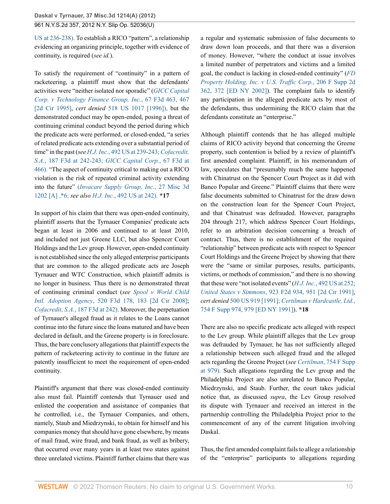[US at 236-238\).](http://www.westlaw.com/Link/Document/FullText?findType=Y&serNum=1989094478&pubNum=780&originatingDoc=Ifc6eea031f9d11e2b66bbd5332e2d275&refType=RP&fi=co_pp_sp_780_236&originationContext=document&vr=3.0&rs=cblt1.0&transitionType=DocumentItem&contextData=(sc.UserEnteredCitation)#co_pp_sp_780_236) To establish a RICO "pattern", a relationship evidencing an organizing principle, together with evidence of continuity, is required (*see id.*).

To satisfy the requirement of "continuity" in a pattern of racketeering, a plaintiff must show that the defendants' activities were "neither isolated nor sporadic" (*[GICC Capital](http://www.westlaw.com/Link/Document/FullText?findType=Y&serNum=1995205293&pubNum=0000506&originatingDoc=Ifc6eea031f9d11e2b66bbd5332e2d275&refType=RP&fi=co_pp_sp_506_467&originationContext=document&vr=3.0&rs=cblt1.0&transitionType=DocumentItem&contextData=(sc.UserEnteredCitation)#co_pp_sp_506_467) [Corp. v Technology Finance Group, Inc.](http://www.westlaw.com/Link/Document/FullText?findType=Y&serNum=1995205293&pubNum=0000506&originatingDoc=Ifc6eea031f9d11e2b66bbd5332e2d275&refType=RP&fi=co_pp_sp_506_467&originationContext=document&vr=3.0&rs=cblt1.0&transitionType=DocumentItem&contextData=(sc.UserEnteredCitation)#co_pp_sp_506_467)*, 67 F3d 463, 467 [\[2d Cir 1995\]](http://www.westlaw.com/Link/Document/FullText?findType=Y&serNum=1995205293&pubNum=0000506&originatingDoc=Ifc6eea031f9d11e2b66bbd5332e2d275&refType=RP&fi=co_pp_sp_506_467&originationContext=document&vr=3.0&rs=cblt1.0&transitionType=DocumentItem&contextData=(sc.UserEnteredCitation)#co_pp_sp_506_467), *cert denied* [518 US 1017 \[1996\]\),](http://www.westlaw.com/Link/Document/FullText?findType=Y&serNum=1996088352&pubNum=780&originatingDoc=Ifc6eea031f9d11e2b66bbd5332e2d275&refType=RP&originationContext=document&vr=3.0&rs=cblt1.0&transitionType=DocumentItem&contextData=(sc.UserEnteredCitation)) but the demonstrated conduct may be open-ended, posing a threat of continuing criminal conduct beyond the period during which the predicate acts were performed, or closed-ended, "a series of related predicate acts extending over a substantial period of time" in the past (*see H.J. Inc.*[, 492 US at 239-243;](http://www.westlaw.com/Link/Document/FullText?findType=Y&serNum=1989094478&pubNum=780&originatingDoc=Ifc6eea031f9d11e2b66bbd5332e2d275&refType=RP&fi=co_pp_sp_780_239&originationContext=document&vr=3.0&rs=cblt1.0&transitionType=DocumentItem&contextData=(sc.UserEnteredCitation)#co_pp_sp_780_239) *[Cofacredit,](http://www.westlaw.com/Link/Document/FullText?findType=Y&serNum=1999182137&pubNum=506&originatingDoc=Ifc6eea031f9d11e2b66bbd5332e2d275&refType=RP&fi=co_pp_sp_506_242&originationContext=document&vr=3.0&rs=cblt1.0&transitionType=DocumentItem&contextData=(sc.UserEnteredCitation)#co_pp_sp_506_242) S.A.*[, 187 F3d at 242-243;](http://www.westlaw.com/Link/Document/FullText?findType=Y&serNum=1999182137&pubNum=506&originatingDoc=Ifc6eea031f9d11e2b66bbd5332e2d275&refType=RP&fi=co_pp_sp_506_242&originationContext=document&vr=3.0&rs=cblt1.0&transitionType=DocumentItem&contextData=(sc.UserEnteredCitation)#co_pp_sp_506_242) *[GICC Capital Corp.](http://www.westlaw.com/Link/Document/FullText?findType=Y&serNum=1995205293&pubNum=506&originatingDoc=Ifc6eea031f9d11e2b66bbd5332e2d275&refType=RP&fi=co_pp_sp_506_466&originationContext=document&vr=3.0&rs=cblt1.0&transitionType=DocumentItem&contextData=(sc.UserEnteredCitation)#co_pp_sp_506_466)*, 67 F3d at [466\).](http://www.westlaw.com/Link/Document/FullText?findType=Y&serNum=1995205293&pubNum=506&originatingDoc=Ifc6eea031f9d11e2b66bbd5332e2d275&refType=RP&fi=co_pp_sp_506_466&originationContext=document&vr=3.0&rs=cblt1.0&transitionType=DocumentItem&contextData=(sc.UserEnteredCitation)#co_pp_sp_506_466) "The aspect of continuity critical to making out a RICO violation is the risk of repeated criminal activity extending into the future" (*[Invacare Supply Group, Inc.](http://www.westlaw.com/Link/Document/FullText?findType=Y&serNum=1984106173&pubNum=161&originatingDoc=Ifc6eea031f9d11e2b66bbd5332e2d275&refType=RP&originationContext=document&vr=3.0&rs=cblt1.0&transitionType=DocumentItem&contextData=(sc.UserEnteredCitation))*, 27 Misc 3d [1202 \[A\] ,\\*6;](http://www.westlaw.com/Link/Document/FullText?findType=Y&serNum=1984106173&pubNum=161&originatingDoc=Ifc6eea031f9d11e2b66bbd5332e2d275&refType=RP&originationContext=document&vr=3.0&rs=cblt1.0&transitionType=DocumentItem&contextData=(sc.UserEnteredCitation)) *see also H.J. Inc.*[, 492 US at 242\).](http://www.westlaw.com/Link/Document/FullText?findType=Y&serNum=1989094478&pubNum=780&originatingDoc=Ifc6eea031f9d11e2b66bbd5332e2d275&refType=RP&fi=co_pp_sp_780_242&originationContext=document&vr=3.0&rs=cblt1.0&transitionType=DocumentItem&contextData=(sc.UserEnteredCitation)#co_pp_sp_780_242) **\*17**

In support of his claim that there was open-ended continuity, plaintiff asserts that the Tyrnauer Companies' predicate acts began at least in 2006 and continued to at least 2010, and included not just Greene LLC, but also Spencer Court Holdings and the Lev group. However, open-ended continuity is not established since the only alleged enterprise participants that are common to the alleged predicate acts are Joseph Tyrnauer and WTC Construction, which plaintiff admits is no longer in business. Thus there is no demonstrated threat of continuing criminal conduct (*see [Spool v World Child](http://www.westlaw.com/Link/Document/FullText?findType=Y&serNum=2015507057&pubNum=0000506&originatingDoc=Ifc6eea031f9d11e2b66bbd5332e2d275&refType=RP&fi=co_pp_sp_506_183&originationContext=document&vr=3.0&rs=cblt1.0&transitionType=DocumentItem&contextData=(sc.UserEnteredCitation)#co_pp_sp_506_183) Intl. Adoption Agency*[, 520 F3d 178, 183 \[2d Cir 2008\]](http://www.westlaw.com/Link/Document/FullText?findType=Y&serNum=2015507057&pubNum=0000506&originatingDoc=Ifc6eea031f9d11e2b66bbd5332e2d275&refType=RP&fi=co_pp_sp_506_183&originationContext=document&vr=3.0&rs=cblt1.0&transitionType=DocumentItem&contextData=(sc.UserEnteredCitation)#co_pp_sp_506_183); *Cofacredit*, *S.A.*[, 187 F3d at 242\).](http://www.westlaw.com/Link/Document/FullText?findType=Y&serNum=1999182137&pubNum=506&originatingDoc=Ifc6eea031f9d11e2b66bbd5332e2d275&refType=RP&fi=co_pp_sp_506_242&originationContext=document&vr=3.0&rs=cblt1.0&transitionType=DocumentItem&contextData=(sc.UserEnteredCitation)#co_pp_sp_506_242) Moreover, the perpetuation of Tyrnauer's alleged fraud as it relates to the Loans cannot continue into the future since the loans matured and have been declared in default, and the Greene property is in foreclosure. Thus, the bare conclusory allegations that plaintiff expects the pattern of racketeering activity to continue in the future are patently insufficient to meet the requirement of open-ended continuity.

Plaintiff's argument that there was closed-ended continuity also must fail. Plaintiff contends that Tyrnauer used and enlisted the cooperation and assistance of companies that he controlled, i.e., the Tyrnauer Companies, and others, namely, Staub and Miedrzynski, to obtain for himself and his companies money that should have gone elsewhere, by means of mail fraud, wire fraud, and bank fraud, as well as bribery, that occurred over many years in at least two states against three unrelated victims. Plaintiff further claims that there was a regular and systematic submission of false documents to draw down loan proceeds, and that there was a diversion of money. However, "where the conduct at issue involves a limited number of perpetrators and victims and a limited goal, the conduct is lacking in closed-ended continuity" (*[FD](http://www.westlaw.com/Link/Document/FullText?findType=Y&serNum=2002390464&pubNum=0004637&originatingDoc=Ifc6eea031f9d11e2b66bbd5332e2d275&refType=RP&fi=co_pp_sp_4637_372&originationContext=document&vr=3.0&rs=cblt1.0&transitionType=DocumentItem&contextData=(sc.UserEnteredCitation)#co_pp_sp_4637_372) [Property Holding, Inc. v U.S. Traffic Corp.](http://www.westlaw.com/Link/Document/FullText?findType=Y&serNum=2002390464&pubNum=0004637&originatingDoc=Ifc6eea031f9d11e2b66bbd5332e2d275&refType=RP&fi=co_pp_sp_4637_372&originationContext=document&vr=3.0&rs=cblt1.0&transitionType=DocumentItem&contextData=(sc.UserEnteredCitation)#co_pp_sp_4637_372)*, 206 F Supp 2d [362, 372 \[ED NY 2002\]](http://www.westlaw.com/Link/Document/FullText?findType=Y&serNum=2002390464&pubNum=0004637&originatingDoc=Ifc6eea031f9d11e2b66bbd5332e2d275&refType=RP&fi=co_pp_sp_4637_372&originationContext=document&vr=3.0&rs=cblt1.0&transitionType=DocumentItem&contextData=(sc.UserEnteredCitation)#co_pp_sp_4637_372)). The complaint fails to identify any participation in the alleged predicate acts by most of the defendants, thus undermining the RICO claim that the defendants constitute an "enterprise."

Although plaintiff contends that he has alleged multiple claims of RICO activity beyond that concerning the Greene property, such contention is belied by a review of plaintiff's first amended complaint. Plaintiff, in his memorandum of law, speculates that "presumably much the same happened with Chinatrust on the Spencer Court Project as it did with Banco Popular and Greene." Plaintiff claims that there were false documents submitted to Chinatrust for the draw down on the construction loan for the Spencer Court Project, and that Chinatrust was defrauded. However, paragraphs 204 through 217, which address Spencer Court Holdings, refer to an arbitration decision concerning a breach of contract. Thus, there is no establishment of the required "relationship" between predicate acts with respect to Spencer Court Holdings and the Greene Project by showing that there were the "same or similar purposes, results, participants, victims, or methods of commission," and there is no showing that these were "not isolated events" (*H.J. Inc.*[, 492 US at 252;](http://www.westlaw.com/Link/Document/FullText?findType=Y&serNum=1989094478&pubNum=780&originatingDoc=Ifc6eea031f9d11e2b66bbd5332e2d275&refType=RP&fi=co_pp_sp_780_252&originationContext=document&vr=3.0&rs=cblt1.0&transitionType=DocumentItem&contextData=(sc.UserEnteredCitation)#co_pp_sp_780_252) *United States v Simmons*[, 923 F2d 934, 951 \[2d Cir 1991\]](http://www.westlaw.com/Link/Document/FullText?findType=Y&serNum=1991022605&pubNum=0000350&originatingDoc=Ifc6eea031f9d11e2b66bbd5332e2d275&refType=RP&fi=co_pp_sp_350_951&originationContext=document&vr=3.0&rs=cblt1.0&transitionType=DocumentItem&contextData=(sc.UserEnteredCitation)#co_pp_sp_350_951), *cert denied* [500 US 919 \[1991\];](http://www.westlaw.com/Link/Document/FullText?findType=Y&serNum=1991076096&pubNum=780&originatingDoc=Ifc6eea031f9d11e2b66bbd5332e2d275&refType=RP&originationContext=document&vr=3.0&rs=cblt1.0&transitionType=DocumentItem&contextData=(sc.UserEnteredCitation)) *[Certilman v Hardcastle, Ltd.](http://www.westlaw.com/Link/Document/FullText?findType=Y&serNum=1991028980&pubNum=0000345&originatingDoc=Ifc6eea031f9d11e2b66bbd5332e2d275&refType=RP&fi=co_pp_sp_345_979&originationContext=document&vr=3.0&rs=cblt1.0&transitionType=DocumentItem&contextData=(sc.UserEnteredCitation)#co_pp_sp_345_979)*, [754 F Supp 974, 979 \[ED NY 1991\]\)](http://www.westlaw.com/Link/Document/FullText?findType=Y&serNum=1991028980&pubNum=0000345&originatingDoc=Ifc6eea031f9d11e2b66bbd5332e2d275&refType=RP&fi=co_pp_sp_345_979&originationContext=document&vr=3.0&rs=cblt1.0&transitionType=DocumentItem&contextData=(sc.UserEnteredCitation)#co_pp_sp_345_979). **\*18**

There are also no specific predicate acts alleged with respect to the Lev group. While plaintiff alleges that the Lev group was defrauded by Tyrnauer, he has not sufficiently alleged a relationship between such alleged fraud and the alleged acts regarding the Greene Project (*see Certilman*[, 754 F Supp](http://www.westlaw.com/Link/Document/FullText?findType=Y&serNum=1991028980&pubNum=345&originatingDoc=Ifc6eea031f9d11e2b66bbd5332e2d275&refType=RP&fi=co_pp_sp_345_979&originationContext=document&vr=3.0&rs=cblt1.0&transitionType=DocumentItem&contextData=(sc.UserEnteredCitation)#co_pp_sp_345_979) [at 979\).](http://www.westlaw.com/Link/Document/FullText?findType=Y&serNum=1991028980&pubNum=345&originatingDoc=Ifc6eea031f9d11e2b66bbd5332e2d275&refType=RP&fi=co_pp_sp_345_979&originationContext=document&vr=3.0&rs=cblt1.0&transitionType=DocumentItem&contextData=(sc.UserEnteredCitation)#co_pp_sp_345_979) Such allegations regarding the Lev group and the Philadelphia Project are also unrelated to Banco Popular, Miedrzynski, and Staub. Further, the court takes judicial notice that, as discussed *supra*, the Lev Group resolved its dispute with Tyrnauer and received an interest in the partnership controlling the Philadelphia Project prior to the commencement of any of the current litigation involving Daskal.

Thus, the first amended complaint fails to allege a relationship of the "enterprise" participants to allegations regarding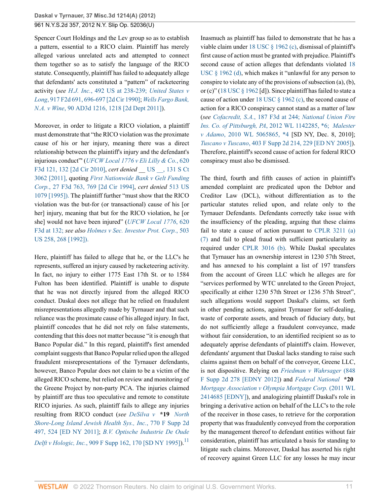Spencer Court Holdings and the Lev group so as to establish a pattern, essential to a RICO claim. Plaintiff has merely alleged various unrelated acts and attempted to connect them together so as to satisfy the language of the RICO statute. Consequently, plaintiff has failed to adequately allege that defendants' acts constituted a "pattern" of racketeering activity (*see H.J. Inc.*[, 492 US at 238-239;](http://www.westlaw.com/Link/Document/FullText?findType=Y&serNum=1989094478&pubNum=780&originatingDoc=Ifc6eea031f9d11e2b66bbd5332e2d275&refType=RP&fi=co_pp_sp_780_238&originationContext=document&vr=3.0&rs=cblt1.0&transitionType=DocumentItem&contextData=(sc.UserEnteredCitation)#co_pp_sp_780_238) *[United States v](http://www.westlaw.com/Link/Document/FullText?findType=Y&serNum=1990152493&pubNum=0000350&originatingDoc=Ifc6eea031f9d11e2b66bbd5332e2d275&refType=RP&fi=co_pp_sp_350_696&originationContext=document&vr=3.0&rs=cblt1.0&transitionType=DocumentItem&contextData=(sc.UserEnteredCitation)#co_pp_sp_350_696) Long*[, 917 F2d 691, 696-697 \[2d Cir 1990\]](http://www.westlaw.com/Link/Document/FullText?findType=Y&serNum=1990152493&pubNum=0000350&originatingDoc=Ifc6eea031f9d11e2b66bbd5332e2d275&refType=RP&fi=co_pp_sp_350_696&originationContext=document&vr=3.0&rs=cblt1.0&transitionType=DocumentItem&contextData=(sc.UserEnteredCitation)#co_pp_sp_350_696); *[Wells Fargo Bank,](http://www.westlaw.com/Link/Document/FullText?findType=Y&pubNum=0007049&cite=90AD3D1216&originatingDoc=Ifc6eea031f9d11e2b66bbd5332e2d275&refType=RP&fi=co_pp_sp_7049_1218&originationContext=document&vr=3.0&rs=cblt1.0&transitionType=DocumentItem&contextData=(sc.UserEnteredCitation)#co_pp_sp_7049_1218) N.A. v Wine*[, 90 AD3d 1216, 1218 \[2d Dept 2011\]\)](http://www.westlaw.com/Link/Document/FullText?findType=Y&pubNum=0007049&cite=90AD3D1216&originatingDoc=Ifc6eea031f9d11e2b66bbd5332e2d275&refType=RP&fi=co_pp_sp_7049_1218&originationContext=document&vr=3.0&rs=cblt1.0&transitionType=DocumentItem&contextData=(sc.UserEnteredCitation)#co_pp_sp_7049_1218).

Moreover, in order to litigate a RICO violation, a plaintiff must demonstrate that "the RICO violation was the proximate cause of his or her injury, meaning there was a direct relationship between the plaintiff's injury and the defendant's injurious conduct"' (*[UFCW Local 1776 v Eli Lilly & Co.](http://www.westlaw.com/Link/Document/FullText?findType=Y&serNum=2022963672&pubNum=0000506&originatingDoc=Ifc6eea031f9d11e2b66bbd5332e2d275&refType=RP&fi=co_pp_sp_506_132&originationContext=document&vr=3.0&rs=cblt1.0&transitionType=DocumentItem&contextData=(sc.UserEnteredCitation)#co_pp_sp_506_132)*, 620 [F3d 121, 132 \[2d Cir 2010\]](http://www.westlaw.com/Link/Document/FullText?findType=Y&serNum=2022963672&pubNum=0000506&originatingDoc=Ifc6eea031f9d11e2b66bbd5332e2d275&refType=RP&fi=co_pp_sp_506_132&originationContext=document&vr=3.0&rs=cblt1.0&transitionType=DocumentItem&contextData=(sc.UserEnteredCitation)#co_pp_sp_506_132), *cert denied* \_\_ [US \\_\\_, 131 S Ct](http://www.westlaw.com/Link/Document/FullText?findType=Y&pubNum=708&cite=131SCT3062&originatingDoc=Ifc6eea031f9d11e2b66bbd5332e2d275&refType=RP&originationContext=document&vr=3.0&rs=cblt1.0&transitionType=DocumentItem&contextData=(sc.UserEnteredCitation)) [3062 \[2011\],](http://www.westlaw.com/Link/Document/FullText?findType=Y&pubNum=708&cite=131SCT3062&originatingDoc=Ifc6eea031f9d11e2b66bbd5332e2d275&refType=RP&originationContext=document&vr=3.0&rs=cblt1.0&transitionType=DocumentItem&contextData=(sc.UserEnteredCitation)) quoting *[First Nationwide Bank v Gelt Funding](http://www.westlaw.com/Link/Document/FullText?findType=Y&serNum=1994126640&pubNum=0000506&originatingDoc=Ifc6eea031f9d11e2b66bbd5332e2d275&refType=RP&fi=co_pp_sp_506_769&originationContext=document&vr=3.0&rs=cblt1.0&transitionType=DocumentItem&contextData=(sc.UserEnteredCitation)#co_pp_sp_506_769) Corp.*[, 27 F3d 763, 769 \[2d Cir 1994\],](http://www.westlaw.com/Link/Document/FullText?findType=Y&serNum=1994126640&pubNum=0000506&originatingDoc=Ifc6eea031f9d11e2b66bbd5332e2d275&refType=RP&fi=co_pp_sp_506_769&originationContext=document&vr=3.0&rs=cblt1.0&transitionType=DocumentItem&contextData=(sc.UserEnteredCitation)#co_pp_sp_506_769) *cert denied* [513 US](http://www.westlaw.com/Link/Document/FullText?findType=Y&serNum=1994218677&pubNum=780&originatingDoc=Ifc6eea031f9d11e2b66bbd5332e2d275&refType=RP&originationContext=document&vr=3.0&rs=cblt1.0&transitionType=DocumentItem&contextData=(sc.UserEnteredCitation)) [1079 \[1995\]\).](http://www.westlaw.com/Link/Document/FullText?findType=Y&serNum=1994218677&pubNum=780&originatingDoc=Ifc6eea031f9d11e2b66bbd5332e2d275&refType=RP&originationContext=document&vr=3.0&rs=cblt1.0&transitionType=DocumentItem&contextData=(sc.UserEnteredCitation)) The plaintiff further "must show that the RICO violation was the but-for (or transactional) cause of his [or her] injury, meaning that but for the RICO violation, he [or she] would not have been injured" (*[UFCW Local 1776](http://www.westlaw.com/Link/Document/FullText?findType=Y&serNum=2022963672&pubNum=506&originatingDoc=Ifc6eea031f9d11e2b66bbd5332e2d275&refType=RP&fi=co_pp_sp_506_132&originationContext=document&vr=3.0&rs=cblt1.0&transitionType=DocumentItem&contextData=(sc.UserEnteredCitation)#co_pp_sp_506_132)*, 620 [F3d at 132;](http://www.westlaw.com/Link/Document/FullText?findType=Y&serNum=2022963672&pubNum=506&originatingDoc=Ifc6eea031f9d11e2b66bbd5332e2d275&refType=RP&fi=co_pp_sp_506_132&originationContext=document&vr=3.0&rs=cblt1.0&transitionType=DocumentItem&contextData=(sc.UserEnteredCitation)#co_pp_sp_506_132) *see also [Holmes v Sec. Investor Prot. Corp.](http://www.westlaw.com/Link/Document/FullText?findType=Y&serNum=1992060701&pubNum=780&originatingDoc=Ifc6eea031f9d11e2b66bbd5332e2d275&refType=RP&fi=co_pp_sp_780_268&originationContext=document&vr=3.0&rs=cblt1.0&transitionType=DocumentItem&contextData=(sc.UserEnteredCitation)#co_pp_sp_780_268)*, 503 [US 258, 268 \[1992\]\).](http://www.westlaw.com/Link/Document/FullText?findType=Y&serNum=1992060701&pubNum=780&originatingDoc=Ifc6eea031f9d11e2b66bbd5332e2d275&refType=RP&fi=co_pp_sp_780_268&originationContext=document&vr=3.0&rs=cblt1.0&transitionType=DocumentItem&contextData=(sc.UserEnteredCitation)#co_pp_sp_780_268)

<span id="page-10-0"></span>Here, plaintiff has failed to allege that he, or the LLC's he represents, suffered an injury caused by racketeering activity. In fact, no injury to either 1775 East 17th St. or to 1584 Fulton has been identified. Plaintiff is unable to dispute that he was not directly injured from the alleged RICO conduct. Daskal does not allege that he relied on fraudulent misrepresentations allegedly made by Tyrnauer and that such reliance was the proximate cause of his alleged injury. In fact, plaintiff concedes that he did not rely on false statements, contending that this does not matter because "it is enough that Banco Popular did." In this regard, plaintiff's first amended complaint suggests that Banco Popular relied upon the alleged fraudulent misrepresentations of the Tyrnauer defendants, however, Banco Popular does not claim to be a victim of the alleged RICO scheme, but relied on review and monitoring of the Greene Project by non-party PCA. The injuries claimed by plaintiff are thus too speculative and remote to constitute RICO injuries. As such, plaintiff fails to allege any injuries resulting from RICO conduct (*see [DeSilva v](http://www.westlaw.com/Link/Document/FullText?findType=Y&serNum=2024797574&pubNum=0004637&originatingDoc=Ifc6eea031f9d11e2b66bbd5332e2d275&refType=RP&fi=co_pp_sp_4637_524&originationContext=document&vr=3.0&rs=cblt1.0&transitionType=DocumentItem&contextData=(sc.UserEnteredCitation)#co_pp_sp_4637_524)* **\*19** *North [Shore-Long Island Jewish Health Sys., Inc.](http://www.westlaw.com/Link/Document/FullText?findType=Y&serNum=2024797574&pubNum=0004637&originatingDoc=Ifc6eea031f9d11e2b66bbd5332e2d275&refType=RP&fi=co_pp_sp_4637_524&originationContext=document&vr=3.0&rs=cblt1.0&transitionType=DocumentItem&contextData=(sc.UserEnteredCitation)#co_pp_sp_4637_524)*, 770 F Supp 2d [497, 524 \[ED NY 2011\]](http://www.westlaw.com/Link/Document/FullText?findType=Y&serNum=2024797574&pubNum=0004637&originatingDoc=Ifc6eea031f9d11e2b66bbd5332e2d275&refType=RP&fi=co_pp_sp_4637_524&originationContext=document&vr=3.0&rs=cblt1.0&transitionType=DocumentItem&contextData=(sc.UserEnteredCitation)#co_pp_sp_4637_524); *[B.V. Optische Industrie De Oude](http://www.westlaw.com/Link/Document/FullText?findType=Y&serNum=1995246478&pubNum=0000345&originatingDoc=Ifc6eea031f9d11e2b66bbd5332e2d275&refType=RP&fi=co_pp_sp_345_170&originationContext=document&vr=3.0&rs=cblt1.0&transitionType=DocumentItem&contextData=(sc.UserEnteredCitation)#co_pp_sp_345_170) Delft v Hologic, Inc.*[, 909 F Supp 162, 170 \[SD NY 1995\]](http://www.westlaw.com/Link/Document/FullText?findType=Y&serNum=1995246478&pubNum=0000345&originatingDoc=Ifc6eea031f9d11e2b66bbd5332e2d275&refType=RP&fi=co_pp_sp_345_170&originationContext=document&vr=3.0&rs=cblt1.0&transitionType=DocumentItem&contextData=(sc.UserEnteredCitation)#co_pp_sp_345_170)).<sup>[11](#page-13-5)</sup>

Inasmuch as plaintiff has failed to demonstrate that he has a viable claim under [18 USC § 1962 \(c\),](http://www.westlaw.com/Link/Document/FullText?findType=L&pubNum=1000546&cite=18USCAS1962&originatingDoc=Ifc6eea031f9d11e2b66bbd5332e2d275&refType=LQ&originationContext=document&vr=3.0&rs=cblt1.0&transitionType=DocumentItem&contextData=(sc.UserEnteredCitation)) dismissal of plaintiff's first cause of action must be granted with prejudice. Plaintiff's second cause of action alleges that defendants violated [18](http://www.westlaw.com/Link/Document/FullText?findType=L&pubNum=1000546&cite=18USCAS1962&originatingDoc=Ifc6eea031f9d11e2b66bbd5332e2d275&refType=LQ&originationContext=document&vr=3.0&rs=cblt1.0&transitionType=DocumentItem&contextData=(sc.UserEnteredCitation)) [USC § 1962 \(d\),](http://www.westlaw.com/Link/Document/FullText?findType=L&pubNum=1000546&cite=18USCAS1962&originatingDoc=Ifc6eea031f9d11e2b66bbd5332e2d275&refType=LQ&originationContext=document&vr=3.0&rs=cblt1.0&transitionType=DocumentItem&contextData=(sc.UserEnteredCitation)) which makes it "unlawful for any person to conspire to violate any of the provisions of subsection (a), (b), or (c)" ([18 USC § 1962](http://www.westlaw.com/Link/Document/FullText?findType=L&pubNum=1000546&cite=18USCAS1962&originatingDoc=Ifc6eea031f9d11e2b66bbd5332e2d275&refType=LQ&originationContext=document&vr=3.0&rs=cblt1.0&transitionType=DocumentItem&contextData=(sc.UserEnteredCitation)) [d]). Since plaintiff has failed to state a cause of action under [18 USC § 1962 \(c\)](http://www.westlaw.com/Link/Document/FullText?findType=L&pubNum=1000546&cite=18USCAS1962&originatingDoc=Ifc6eea031f9d11e2b66bbd5332e2d275&refType=LQ&originationContext=document&vr=3.0&rs=cblt1.0&transitionType=DocumentItem&contextData=(sc.UserEnteredCitation)), the second cause of action for a RICO conspiracy cannot stand as a matter of law (*see Cofacredit, S.A.*[, 187 F3d at 244;](http://www.westlaw.com/Link/Document/FullText?findType=Y&serNum=1999182137&pubNum=506&originatingDoc=Ifc6eea031f9d11e2b66bbd5332e2d275&refType=RP&fi=co_pp_sp_506_244&originationContext=document&vr=3.0&rs=cblt1.0&transitionType=DocumentItem&contextData=(sc.UserEnteredCitation)#co_pp_sp_506_244) *[National Union Fire](http://www.westlaw.com/Link/Document/FullText?findType=Y&serNum=2027458116&pubNum=999&originatingDoc=Ifc6eea031f9d11e2b66bbd5332e2d275&refType=RP&originationContext=document&vr=3.0&rs=cblt1.0&transitionType=DocumentItem&contextData=(sc.UserEnteredCitation)) [Ins. Co. of Pittsburgh, PA](http://www.westlaw.com/Link/Document/FullText?findType=Y&serNum=2027458116&pubNum=999&originatingDoc=Ifc6eea031f9d11e2b66bbd5332e2d275&refType=RP&originationContext=document&vr=3.0&rs=cblt1.0&transitionType=DocumentItem&contextData=(sc.UserEnteredCitation))*, 2012 WL 1142285, \*6; *[Malester](http://www.westlaw.com/Link/Document/FullText?findType=Y&serNum=2024063756&pubNum=999&originatingDoc=Ifc6eea031f9d11e2b66bbd5332e2d275&refType=RP&originationContext=document&vr=3.0&rs=cblt1.0&transitionType=DocumentItem&contextData=(sc.UserEnteredCitation)) v Adamo*[, 2010 WL 5065865, \\*4](http://www.westlaw.com/Link/Document/FullText?findType=Y&serNum=2024063756&pubNum=999&originatingDoc=Ifc6eea031f9d11e2b66bbd5332e2d275&refType=RP&originationContext=document&vr=3.0&rs=cblt1.0&transitionType=DocumentItem&contextData=(sc.UserEnteredCitation)) [SD NY, Dec. 8, 2010]; *Tuscano v Tuscano*[, 403 F Supp 2d 214, 229 \[ED NY 2005\]](http://www.westlaw.com/Link/Document/FullText?findType=Y&serNum=2007875542&pubNum=0004637&originatingDoc=Ifc6eea031f9d11e2b66bbd5332e2d275&refType=RP&fi=co_pp_sp_4637_229&originationContext=document&vr=3.0&rs=cblt1.0&transitionType=DocumentItem&contextData=(sc.UserEnteredCitation)#co_pp_sp_4637_229)). Therefore, plaintiff's second cause of action for federal RICO conspiracy must also be dismissed.

The third, fourth and fifth causes of action in plaintiff's amended complaint are predicated upon the Debtor and Creditor Law (DCL), without differentiation as to the particular statutes relied upon, and relate only to the Tyrnauer Defendants. Defendants correctly take issue with the insufficiency of the pleading, arguing that these claims fail to state a cause of action pursuant to [CPLR 3211 \(a\)](http://www.westlaw.com/Link/Document/FullText?findType=L&pubNum=1000059&cite=NYCPR3211&originatingDoc=Ifc6eea031f9d11e2b66bbd5332e2d275&refType=LQ&originationContext=document&vr=3.0&rs=cblt1.0&transitionType=DocumentItem&contextData=(sc.UserEnteredCitation)) [\(7\)](http://www.westlaw.com/Link/Document/FullText?findType=L&pubNum=1000059&cite=NYCPR3211&originatingDoc=Ifc6eea031f9d11e2b66bbd5332e2d275&refType=LQ&originationContext=document&vr=3.0&rs=cblt1.0&transitionType=DocumentItem&contextData=(sc.UserEnteredCitation)) and fail to plead fraud with sufficient particularity as required under [CPLR 3016 \(b\)](http://www.westlaw.com/Link/Document/FullText?findType=L&pubNum=1000059&cite=NYCPR3016&originatingDoc=Ifc6eea031f9d11e2b66bbd5332e2d275&refType=LQ&originationContext=document&vr=3.0&rs=cblt1.0&transitionType=DocumentItem&contextData=(sc.UserEnteredCitation)). While Daskal speculates that Tyrnauer has an ownership interest in 1230 57th Street, and has annexed to his complaint a list of 197 transfers from the account of Green LLC which he alleges are for "services performed by WTC unrelated to the Green Project, specifically at either 1230 57th Street or 1236 57th Street", such allegations would support Daskal's claims, set forth in other pending actions, against Tyrnauer for self-dealing, waste of corporate assets, and breach of fiduciary duty, but do not sufficiently allege a fraudulent conveyance, made without fair consideration, to an identified recipient so as to adequately apprise defendants of plaintiff's claim. However, defendants' argument that Daskal lacks standing to raise such claims against them on behalf of the conveyor, Greene LLC, is not dispositive. Relying on *[Friedman v Wahrsager](http://www.westlaw.com/Link/Document/FullText?findType=Y&serNum=2026956826&pubNum=0004637&originatingDoc=Ifc6eea031f9d11e2b66bbd5332e2d275&refType=RP&originationContext=document&vr=3.0&rs=cblt1.0&transitionType=DocumentItem&contextData=(sc.UserEnteredCitation))* (848 [F Supp 2d 278 \[EDNY 2012\]](http://www.westlaw.com/Link/Document/FullText?findType=Y&serNum=2026956826&pubNum=0004637&originatingDoc=Ifc6eea031f9d11e2b66bbd5332e2d275&refType=RP&originationContext=document&vr=3.0&rs=cblt1.0&transitionType=DocumentItem&contextData=(sc.UserEnteredCitation))) and *[Federal National](http://www.westlaw.com/Link/Document/FullText?findType=Y&serNum=2025510151&pubNum=0000999&originatingDoc=Ifc6eea031f9d11e2b66bbd5332e2d275&refType=RP&originationContext=document&vr=3.0&rs=cblt1.0&transitionType=DocumentItem&contextData=(sc.UserEnteredCitation))* **\*20** *[Mortgage Association v Olympia Mortgage Corp.](http://www.westlaw.com/Link/Document/FullText?findType=Y&serNum=2025510151&pubNum=0000999&originatingDoc=Ifc6eea031f9d11e2b66bbd5332e2d275&refType=RP&originationContext=document&vr=3.0&rs=cblt1.0&transitionType=DocumentItem&contextData=(sc.UserEnteredCitation))* (2011 WL [2414685 \[EDNY\]\)](http://www.westlaw.com/Link/Document/FullText?findType=Y&serNum=2025510151&pubNum=0000999&originatingDoc=Ifc6eea031f9d11e2b66bbd5332e2d275&refType=RP&originationContext=document&vr=3.0&rs=cblt1.0&transitionType=DocumentItem&contextData=(sc.UserEnteredCitation)), and analogizing plaintiff Daskal's role in bringing a derivative action on behalf of the LLC's to the role of the receiver in those cases, to retrieve for the corporation property that was fraudulently conveyed from the corporation by the management thereof to defendant entities without fair consideration, plaintiff has articulated a basis for standing to litigate such claims. Moreover, Daskal has asserted his right of recovery against Green LLC for any losses he may incur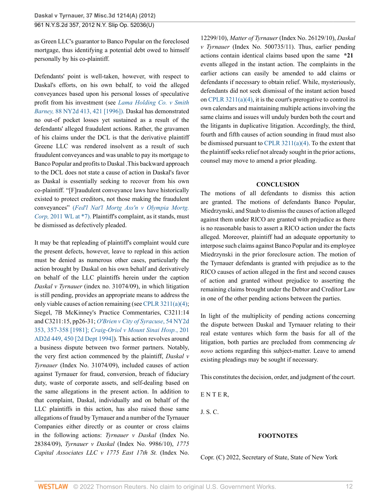as Green LLC's guarantor to Banco Popular on the foreclosed mortgage, thus identifying a potential debt owed to himself personally by his co-plaintiff.

Defendants' point is well-taken, however, with respect to Daskal's efforts, on his own behalf, to void the alleged conveyances based upon his personal losses of speculative profit from his investment (see *[Lama Holding Co. v Smith](http://www.westlaw.com/Link/Document/FullText?findType=Y&pubNum=605&cite=88NY2D413&originatingDoc=Ifc6eea031f9d11e2b66bbd5332e2d275&refType=RP&fi=co_pp_sp_605_421&originationContext=document&vr=3.0&rs=cblt1.0&transitionType=DocumentItem&contextData=(sc.UserEnteredCitation)#co_pp_sp_605_421) Barney,* [88 NY2d 413, 421 \[1996\]\).](http://www.westlaw.com/Link/Document/FullText?findType=Y&pubNum=605&cite=88NY2D413&originatingDoc=Ifc6eea031f9d11e2b66bbd5332e2d275&refType=RP&fi=co_pp_sp_605_421&originationContext=document&vr=3.0&rs=cblt1.0&transitionType=DocumentItem&contextData=(sc.UserEnteredCitation)#co_pp_sp_605_421) Daskal has demonstrated no out-of pocket losses yet sustained as a result of the defendants' alleged fraudulent actions. Rather, the gravamen of his claims under the DCL is that the derivative plaintiff Greene LLC was rendered insolvent as a result of such fraudulent conveyances and was unable to pay its mortgage to Banco Popular and profits to Daskal .This backward approach to the DCL does not state a cause of action in Daskal's favor as Daskal is essentially seeking to recover from his own co-plaintiff. "[F]raudulent conveyance laws have historically existed to protect creditors, not those making the fraudulent conveyances" (*[Fed'l Nat'l Mortg Ass'n v Olympia Mortg.](http://www.westlaw.com/Link/Document/FullText?findType=Y&cite=2011WESTLAW*&originatingDoc=Ifc6eea031f9d11e2b66bbd5332e2d275&refType=RP&originationContext=document&vr=3.0&rs=cblt1.0&transitionType=DocumentItem&contextData=(sc.UserEnteredCitation)) Corp,* [2011 WL at \\*7\).](http://www.westlaw.com/Link/Document/FullText?findType=Y&cite=2011WESTLAW*&originatingDoc=Ifc6eea031f9d11e2b66bbd5332e2d275&refType=RP&originationContext=document&vr=3.0&rs=cblt1.0&transitionType=DocumentItem&contextData=(sc.UserEnteredCitation)) Plaintiff's complaint, as it stands, must be dismissed as defectively pleaded.

It may be that repleading of plaintiff's complaint would cure the present defects, however, leave to replead in this action must be denied as numerous other cases, particularly the action brought by Daskal on his own behalf and derivatively on behalf of the LLC plaintiffs herein under the caption *Daskal v Tyrnauer* (index no. 31074/09), in which litigation is still pending, provides an appropriate means to address the only viable causes of action remaining (see [CPLR 3211\(a\)\(4\)](http://www.westlaw.com/Link/Document/FullText?findType=L&pubNum=1000059&cite=NYCPR3211&originatingDoc=Ifc6eea031f9d11e2b66bbd5332e2d275&refType=LQ&originationContext=document&vr=3.0&rs=cblt1.0&transitionType=DocumentItem&contextData=(sc.UserEnteredCitation)); Siegel, 7B McKinney's Practice Commentaries, C3211:14 and C3211:15, pp26-31; *[O'Brien v City of Syracuse](http://www.westlaw.com/Link/Document/FullText?findType=Y&pubNum=605&cite=54NY2D353&originatingDoc=Ifc6eea031f9d11e2b66bbd5332e2d275&refType=RP&fi=co_pp_sp_605_357&originationContext=document&vr=3.0&rs=cblt1.0&transitionType=DocumentItem&contextData=(sc.UserEnteredCitation)#co_pp_sp_605_357)*, 54 NY2d [353, 357-358 \[1981\];](http://www.westlaw.com/Link/Document/FullText?findType=Y&pubNum=605&cite=54NY2D353&originatingDoc=Ifc6eea031f9d11e2b66bbd5332e2d275&refType=RP&fi=co_pp_sp_605_357&originationContext=document&vr=3.0&rs=cblt1.0&transitionType=DocumentItem&contextData=(sc.UserEnteredCitation)#co_pp_sp_605_357) *[Craig-Oriol v Mount Sinai Hosp.](http://www.westlaw.com/Link/Document/FullText?findType=Y&pubNum=0000155&cite=201APPDIV2D449&originatingDoc=Ifc6eea031f9d11e2b66bbd5332e2d275&refType=RP&fi=co_pp_sp_155_450&originationContext=document&vr=3.0&rs=cblt1.0&transitionType=DocumentItem&contextData=(sc.UserEnteredCitation)#co_pp_sp_155_450)*, 201 [AD2d 449, 450 \[2d Dept 1994\]](http://www.westlaw.com/Link/Document/FullText?findType=Y&pubNum=0000155&cite=201APPDIV2D449&originatingDoc=Ifc6eea031f9d11e2b66bbd5332e2d275&refType=RP&fi=co_pp_sp_155_450&originationContext=document&vr=3.0&rs=cblt1.0&transitionType=DocumentItem&contextData=(sc.UserEnteredCitation)#co_pp_sp_155_450)). This action revolves around a business dispute between two former partners. Notably, the very first action commenced by the plaintiff, *Daskal v Tyrnauer* (Index No. 31074/09), included causes of action against Tyrnauer for fraud, conversion, breach of fiduciary duty, waste of corporate assets, and self-dealing based on the same allegations in the present action. In addition to that complaint, Daskal, individually and on behalf of the LLC plaintiffs in this action, has also raised those same allegations of fraud by Tyrnauer and a number of the Tyrnauer Companies either directly or as counter or cross claims in the following actions: *Tyrnauer v Daskal* (Index No. 28384/09), *Tyrnauer v Daskal* (Index No. 9986/10), *1775 Capital Associates LLC v 1775 East 17th St.* (Index No.

12299/10), *Matter of Tyrnauer* (Index No. 26129/10), *Daskal v Tyrnauer* (Index No. 500735/11). Thus, earlier pending actions contain identical claims based upon the same **\*21** events alleged in the instant action. The complaints in the earlier actions can easily be amended to add claims or defendants if necessary to obtain relief. While, mysteriously, defendants did not seek dismissal of the instant action based on CPLR  $3211(a)(4)$ , it is the court's prerogative to control its own calendars and maintaining multiple actions involving the same claims and issues will unduly burden both the court and the litigants in duplicative litigation. Accordingly, the third, fourth and fifth causes of action sounding in fraud must also be dismissed pursuant to [CPLR 3211\(a\)\(4\).](http://www.westlaw.com/Link/Document/FullText?findType=L&pubNum=1000059&cite=NYCPR3211&originatingDoc=Ifc6eea031f9d11e2b66bbd5332e2d275&refType=LQ&originationContext=document&vr=3.0&rs=cblt1.0&transitionType=DocumentItem&contextData=(sc.UserEnteredCitation)) To the extent that the plaintiff seeks relief not already sought in the prior actions, counsel may move to amend a prior pleading.

### **CONCLUSION**

The motions of all defendants to dismiss this action are granted. The motions of defendants Banco Popular, Miedrzynski, and Staub to dismiss the causes of action alleged against them under RICO are granted with prejudice as there is no reasonable basis to assert a RICO action under the facts alleged. Moreover, plaintiff had an adequate opportunity to interpose such claims against Banco Popular and its employee Miedrzynski in the prior foreclosure action. The motion of the Tyrnauer defendants is granted with prejudice as to the RICO causes of action alleged in the first and second causes of action and granted without prejudice to asserting the remaining claims brought under the Debtor and Creditor Law in one of the other pending actions between the parties.

In light of the multiplicity of pending actions concerning the dispute between Daskal and Tyrnauer relating to their real estate ventures which form the basis for all of the litigation, both parties are precluded from commencing *de novo* actions regarding this subject-matter. Leave to amend existing pleadings may be sought if necessary.

This constitutes the decision, order, and judgment of the court.

E N T E R,

J. S. C.

### **FOOTNOTES**

Copr. (C) 2022, Secretary of State, State of New York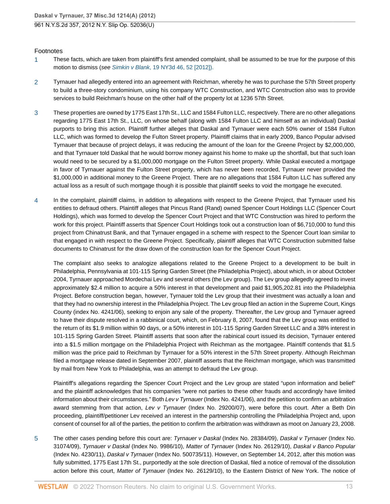### Footnotes

- <span id="page-12-0"></span>[1](#page-1-0) These facts, which are taken from plaintiff's first amended complaint, shall be assumed to be true for the purpose of this motion to dismiss (see Simkin v Blank[, 19 NY3d 46, 52 \[2012\]\).](http://www.westlaw.com/Link/Document/FullText?findType=Y&pubNum=7048&cite=19NY3D46&originatingDoc=Ifc6eea031f9d11e2b66bbd5332e2d275&refType=RP&fi=co_pp_sp_7048_52&originationContext=document&vr=3.0&rs=cblt1.0&transitionType=DocumentItem&contextData=(sc.UserEnteredCitation)#co_pp_sp_7048_52)
- <span id="page-12-1"></span>[2](#page-3-0) Tyrnauer had allegedly entered into an agreement with Reichman, whereby he was to purchase the 57th Street property to build a three-story condominium, using his company WTC Construction, and WTC Construction also was to provide services to build Reichman's house on the other half of the property lot at 1236 57th Street.
- <span id="page-12-2"></span>[3](#page-3-1) These properties are owned by 1775 East 17th St., LLC and 1584 Fulton LLC, respectively. There are no other allegations regarding 1775 East 17th St., LLC, on whose behalf (along with 1584 Fulton LLC and himself as an individual) Daskal purports to bring this action. Plaintiff further alleges that Daskal and Tyrnauer were each 50% owner of 1584 Fulton LLC, which was formed to develop the Fulton Street property. Plaintiff claims that in early 2009, Banco Popular advised Tyrnauer that because of project delays, it was reducing the amount of the loan for the Greene Project by \$2,000,000, and that Tyrnauer told Daskal that he would borrow money against his home to make up the shortfall, but that such loan would need to be secured by a \$1,000,000 mortgage on the Fulton Street property. While Daskal executed a mortgage in favor of Tyrnauer against the Fulton Street property, which has never been recorded, Tyrnauer never provided the \$1,000,000 in additional money to the Greene Project. There are no allegations that 1584 Fulton LLC has suffered any actual loss as a result of such mortgage though it is possible that plaintiff seeks to void the mortgage he executed.
- <span id="page-12-3"></span>[4](#page-4-0) In the complaint, plaintiff claims, in addition to allegations with respect to the Greene Project, that Tyrnauer used his entities to defraud others. Plaintiff alleges that Pincus Rand (Rand) owned Spencer Court Holdings LLC (Spencer Court Holdings), which was formed to develop the Spencer Court Project and that WTC Construction was hired to perform the work for this project. Plaintiff asserts that Spencer Court Holdings took out a construction loan of \$6,710,000 to fund this project from Chinatrust Bank, and that Tyrnauer engaged in a scheme with respect to the Spencer Court loan similar to that engaged in with respect to the Greene Project. Specifically, plaintiff alleges that WTC Construction submitted false documents to Chinatrust for the draw down of the construction loan for the Spencer Court Project.

The complaint also seeks to analogize allegations related to the Greene Project to a development to be built in Philadelphia, Pennsylvania at 101-115 Spring Garden Street (the Philadelphia Project), about which, in or about October 2004, Tyrnauer approached Mordechai Lev and several others (the Lev group). The Lev group allegedly agreed to invest approximately \$2.4 million to acquire a 50% interest in that development and paid \$1,905,202.81 into the Philadelphia Project. Before construction began, however, Tyrnauer told the Lev group that their investment was actually a loan and that they had no ownership interest in the Philadelphia Project. The Lev group filed an action in the Supreme Court, Kings County (index No. 4241/06), seeking to enjoin any sale of the property. Thereafter, the Lev group and Tyrnauer agreed to have their dispute resolved in a rabbinical court, which, on February 8, 2007, found that the Lev group was entitled to the return of its \$1.9 million within 90 days, or a 50% interest in 101-115 Spring Garden Street LLC and a 38% interest in 101-115 Spring Garden Street. Plaintiff asserts that soon after the rabinical court issued its decision, Tyrnauer entered into a \$1.5 million mortgage on the Philadelphia Project with Reichman as the mortgagee. Plaintiff contends that \$1.5 million was the price paid to Reichman by Tyrnauer for a 50% interest in the 57th Street property. Although Reichman filed a mortgage release dated in September 2007, plaintiff asserts that the Reichman mortgage, which was transmitted by mail from New York to Philadelphia, was an attempt to defraud the Lev group.

Plaintiff's allegations regarding the Spencer Court Project and the Lev group are stated "upon information and belief" and the plaintiff acknowledges that his companies "were not parties to these other frauds and accordingly have limited information about their circumstances." Both Lev v Tyrnauer (Index No. 4241/06), and the petition to confirm an arbitration award stemming from that action, Lev v Tyrnauer (Index No. 29200/07), were before this court. After a Beth Din proceeding, plaintiff/petitioner Lev received an interest in the partnership controlling the Philadelphia Project and, upon consent of counsel for all of the parties, the petition to confirm the arbitration was withdrawn as moot on January 23, 2008.

<span id="page-12-4"></span>[5](#page-5-0) The other cases pending before this court are: Tyrnauer v Daskal (Index No. 28384/09), Daskal v Tyrnauer (Index No. 31074/09), Tyrnauer v Daskal (Index No. 9986/10), Matter of Tyrnauer (Index No. 26129/10), Daskal v Banco Popular (Index No. 4230/11), Daskal v Tyrnauer (Index No. 500735/11). However, on September 14, 2012, after this motion was fully submitted, 1775 East 17th St., purportedly at the sole direction of Daskal, filed a notice of removal of the dissolution action before this court, Matter of Tyrnauer (Index No. 26129/10), to the Eastern District of New York. The notice of